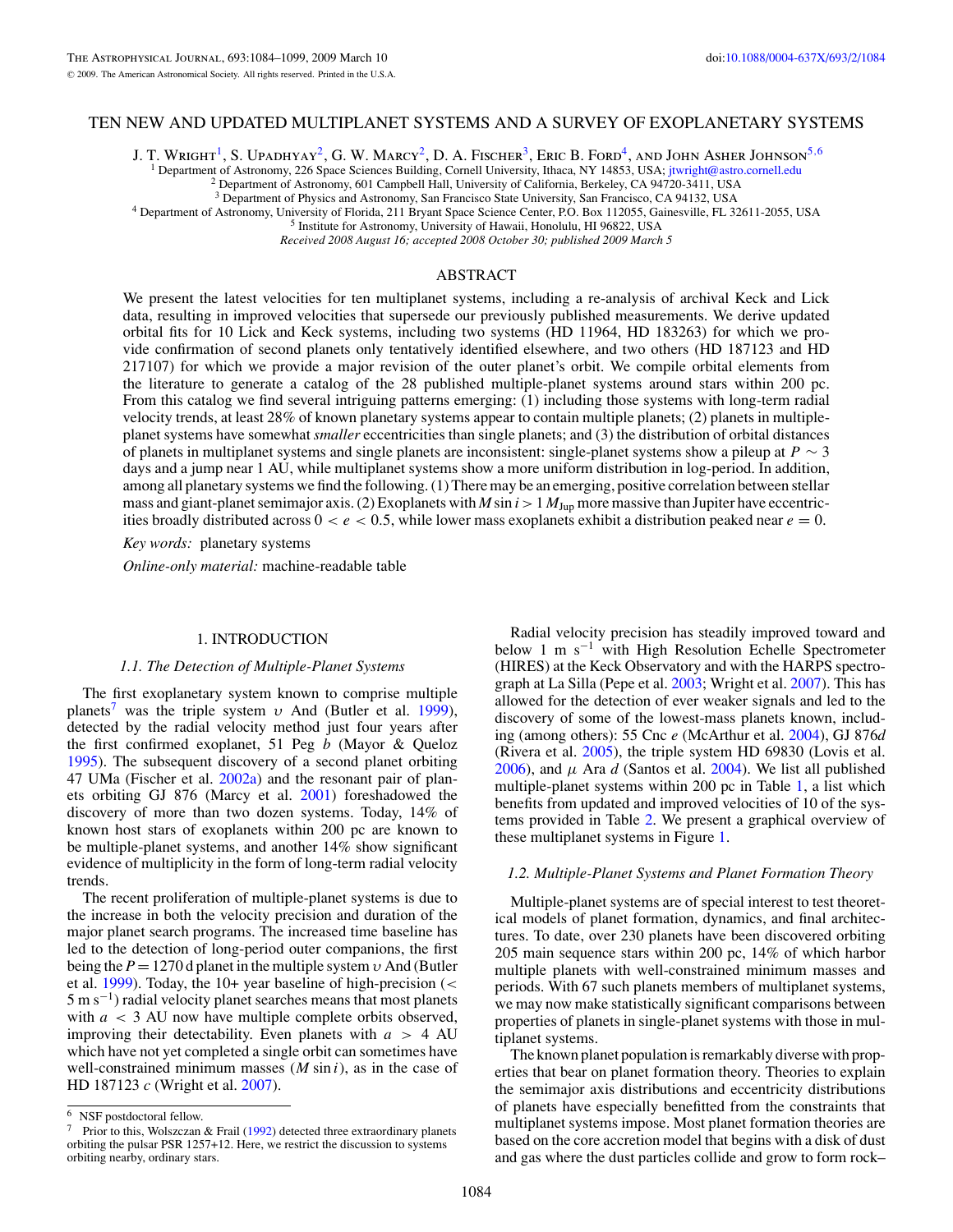## TEN NEW AND UPDATED MULTIPLANET SYSTEMS AND A SURVEY OF EXOPLANETARY SYSTEMS

J. T. Wright<sup>1</sup>, S. Upadhyay<sup>2</sup>, G. W. Marcy<sup>2</sup>, D. A. Fischer<sup>3</sup>, Eric B. Ford<sup>4</sup>, and John Asher Johnson<sup>5,6</sup>

<sup>1</sup> Department of Astronomy, 226 Space Sciences Building, Cornell University, Ithaca, NY 14853, USA; [jtwright@astro.cornell.edu](mailto:jtwright@astro.cornell.edu) <sup>2</sup> Department of Astronomy, 601 Campbell Hall, University of California, Berkeley, CA 94720-

<sup>4</sup> Department of Astronomy, University of Florida, 211 Bryant Space Science Center, P.O. Box 112055, Gainesville, FL 32611-2055, USA<br><sup>5</sup> Institute for Astronomy, University of Hawaii, Honolulu, HI 96822, USA

*Received 2008 August 16; accepted 2008 October 30; published 2009 March 5*

# ABSTRACT

We present the latest velocities for ten multiplanet systems, including a re-analysis of archival Keck and Lick data, resulting in improved velocities that supersede our previously published measurements. We derive updated orbital fits for 10 Lick and Keck systems, including two systems (HD 11964, HD 183263) for which we provide confirmation of second planets only tentatively identified elsewhere, and two others (HD 187123 and HD 217107) for which we provide a major revision of the outer planet's orbit. We compile orbital elements from the literature to generate a catalog of the 28 published multiple-planet systems around stars within 200 pc. From this catalog we find several intriguing patterns emerging: (1) including those systems with long-term radial velocity trends, at least 28% of known planetary systems appear to contain multiple planets; (2) planets in multipleplanet systems have somewhat *smaller* eccentricities than single planets; and (3) the distribution of orbital distances of planets in multiplanet systems and single planets are inconsistent: single-planet systems show a pileup at *P* ∼ 3 days and a jump near 1 AU, while multiplanet systems show a more uniform distribution in log-period. In addition, among all planetary systems we find the following. (1) There may be an emerging, positive correlation between stellar mass and giant-planet semimajor axis. (2) Exoplanets with  $M \sin i > 1$   $M_{\text{Jup}}$  more massive than Jupiter have eccentricities broadly distributed across  $0 < e < 0.5$ , while lower mass exoplanets exhibit a distribution peaked near  $e = 0$ .

*Key words:* planetary systems

*Online-only material:* machine-readable table

### 1. INTRODUCTION

## *1.1. The Detection of Multiple-Planet Systems*

The first exoplanetary system known to comprise multiple planets<sup>7</sup> was the triple system *υ* And (Butler et al. [1999\)](#page-14-0), detected by the radial velocity method just four years after the first confirmed exoplanet, 51 Peg *b* (Mayor & Queloz [1995\)](#page-15-0). The subsequent discovery of a second planet orbiting 47 UMa (Fischer et al. [2002a\)](#page-14-0) and the resonant pair of planets orbiting GJ 876 (Marcy et al. [2001\)](#page-15-0) foreshadowed the discovery of more than two dozen systems. Today, 14% of known host stars of exoplanets within 200 pc are known to be multiple-planet systems, and another 14% show significant evidence of multiplicity in the form of long-term radial velocity trends.

The recent proliferation of multiple-planet systems is due to the increase in both the velocity precision and duration of the major planet search programs. The increased time baseline has led to the detection of long-period outer companions, the first being the *P* = 1270 d planet in the multiple system *υ* And (Butler et al. [1999\)](#page-14-0). Today, the 10+ year baseline of high-precision (*<*  $5 \text{ m s}^{-1}$ ) radial velocity planet searches means that most planets with *a <* 3 AU now have multiple complete orbits observed, improving their detectability. Even planets with  $a > 4$  AU which have not yet completed a single orbit can sometimes have well-constrained minimum masses (*M* sin *i*), as in the case of HD 187123 *c* (Wright et al. [2007\)](#page-15-0).

Radial velocity precision has steadily improved toward and below 1 m s−<sup>1</sup> with High Resolution Echelle Spectrometer (HIRES) at the Keck Observatory and with the HARPS spectrograph at La Silla (Pepe et al. [2003;](#page-15-0) Wright et al. [2007\)](#page-15-0). This has allowed for the detection of ever weaker signals and led to the discovery of some of the lowest-mass planets known, including (among others): 55 Cnc *e* (McArthur et al. [2004\)](#page-15-0), GJ 876*d* (Rivera et al. [2005\)](#page-15-0), the triple system HD 69830 (Lovis et al. [2006\)](#page-15-0), and  $\mu$  Ara  $d$  (Santos et al. [2004\)](#page-15-0). We list all published multiple-planet systems within 200 pc in Table [1,](#page-1-0) a list which benefits from updated and improved velocities of 10 of the systems provided in Table [2.](#page-2-0) We present a graphical overview of these multiplanet systems in Figure [1.](#page-3-0)

#### *1.2. Multiple-Planet Systems and Planet Formation Theory*

Multiple-planet systems are of special interest to test theoretical models of planet formation, dynamics, and final architectures. To date, over 230 planets have been discovered orbiting 205 main sequence stars within 200 pc, 14% of which harbor multiple planets with well-constrained minimum masses and periods. With 67 such planets members of multiplanet systems, we may now make statistically significant comparisons between properties of planets in single-planet systems with those in multiplanet systems.

The known planet population is remarkably diverse with properties that bear on planet formation theory. Theories to explain the semimajor axis distributions and eccentricity distributions of planets have especially benefitted from the constraints that multiplanet systems impose. Most planet formation theories are based on the core accretion model that begins with a disk of dust and gas where the dust particles collide and grow to form rock–

<sup>6</sup> NSF postdoctoral fellow.

<sup>&</sup>lt;sup>7</sup> Prior to this, Wolszczan & Frail [\(1992\)](#page-15-0) detected three extraordinary planets orbiting the pulsar PSR 1257+12. Here, we restrict the discussion to systems orbiting nearby, ordinary stars.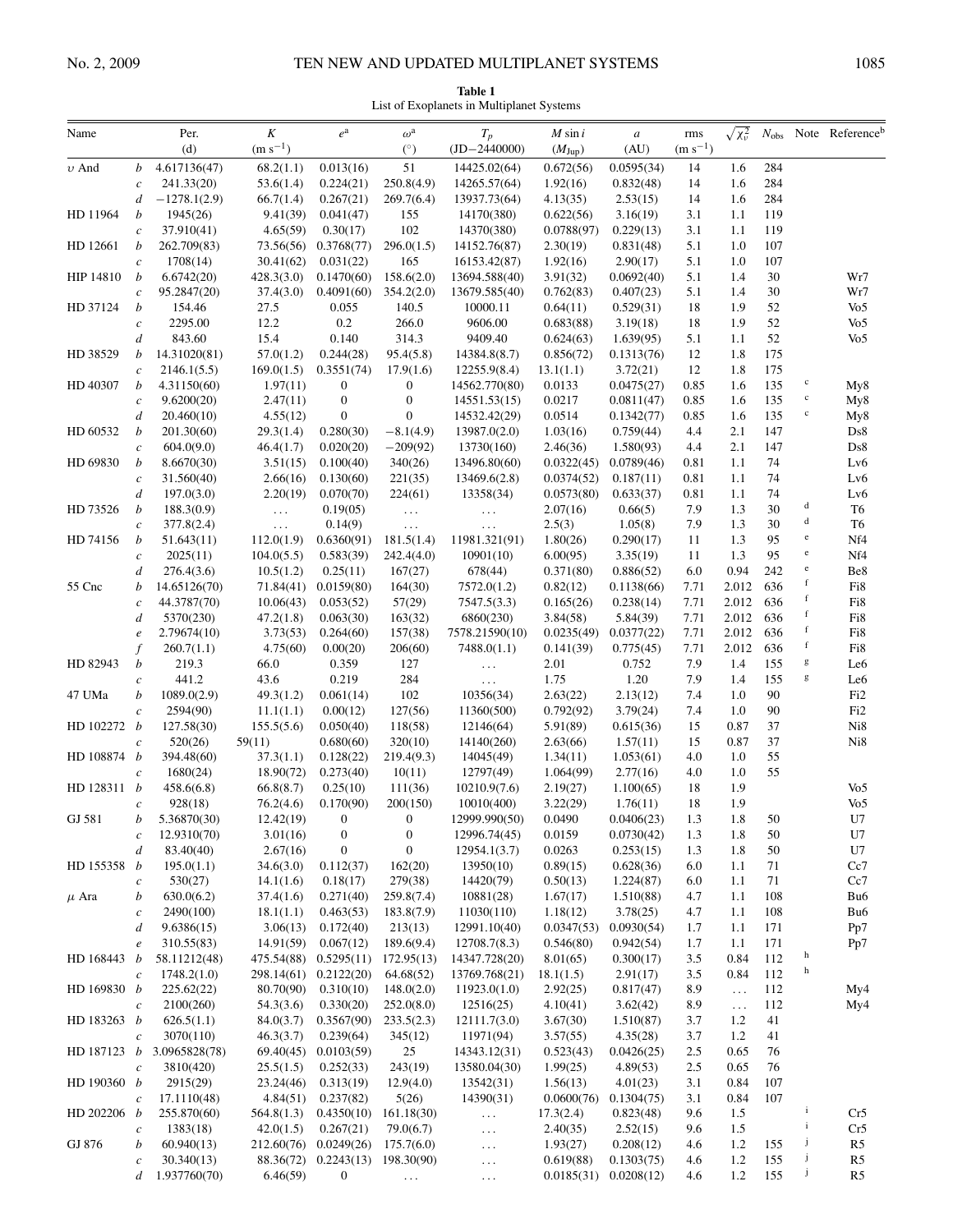<span id="page-1-0"></span>

| Name                 |                       | Per.<br>(d)                | $\cal K$<br>$\rm (m~s^{-1})$ | $e^{\mathrm{a}}$              | $\omega^{\rm a}$<br>(°)     | $T_p$<br>$(ID-2440000)$     | $M \sin i$<br>$(M_{\text{Jup}})$ | $\boldsymbol{a}$<br>(AU) | rms<br>$(m s^{-1})$ | $\sqrt{x_v^2}$ |            |                                                                                                                                                                                                                                                                                                                                                                                                                                | $N_{\text{obs}}$ Note Reference <sup>b</sup> |
|----------------------|-----------------------|----------------------------|------------------------------|-------------------------------|-----------------------------|-----------------------------|----------------------------------|--------------------------|---------------------|----------------|------------|--------------------------------------------------------------------------------------------------------------------------------------------------------------------------------------------------------------------------------------------------------------------------------------------------------------------------------------------------------------------------------------------------------------------------------|----------------------------------------------|
| $\upsilon$ And       | b                     | 4.617136(47)               | 68.2(1.1)                    | 0.013(16)                     | 51                          | 14425.02(64)                | 0.672(56)                        | 0.0595(34)               | 14                  | 1.6            | 284        |                                                                                                                                                                                                                                                                                                                                                                                                                                |                                              |
|                      | $\boldsymbol{c}$      | 241.33(20)                 | 53.6(1.4)                    | 0.224(21)                     | 250.8(4.9)                  | 14265.57(64)                | 1.92(16)                         | 0.832(48)                | 14                  | 1.6            | 284        |                                                                                                                                                                                                                                                                                                                                                                                                                                |                                              |
|                      | $\boldsymbol{d}$      | $-1278.1(2.9)$             | 66.7(1.4)                    | 0.267(21)                     | 269.7(6.4)                  | 13937.73(64)                | 4.13(35)                         | 2.53(15)                 | 14                  | 1.6            | 284        |                                                                                                                                                                                                                                                                                                                                                                                                                                |                                              |
| HD 11964<br>HD 12661 | b                     | 1945(26)                   | 9.41(39)                     | 0.041(47)                     | 155                         | 14170(380)                  | 0.622(56)                        | 3.16(19)                 | 3.1                 | 1.1            | 119        |                                                                                                                                                                                                                                                                                                                                                                                                                                |                                              |
|                      | $\boldsymbol{c}$      | 37.910(41)                 | 4.65(59)                     | 0.30(17)                      | 102                         | 14370(380)                  | 0.0788(97)                       | 0.229(13)                | 3.1                 | 1.1            | 119        |                                                                                                                                                                                                                                                                                                                                                                                                                                |                                              |
|                      | $\boldsymbol{b}$      | 262.709(83)                | 73.56(56)                    | 0.3768(77)                    | 296.0(1.5)                  | 14152.76(87)                | 2.30(19)                         | 0.831(48)                | 5.1                 | 1.0            | 107        |                                                                                                                                                                                                                                                                                                                                                                                                                                |                                              |
|                      | $\boldsymbol{c}$      | 1708(14)                   | 30.41(62)                    | 0.031(22)                     | 165                         | 16153.42(87)                | 1.92(16)                         | 2.90(17)                 | 5.1                 | 1.0            | 107        |                                                                                                                                                                                                                                                                                                                                                                                                                                |                                              |
| HIP 14810            | b                     | 6.6742(20)                 | 428.3(3.0)                   | 0.1470(60)                    | 158.6(2.0)                  | 13694.588(40)               | 3.91(32)                         | 0.0692(40)               | 5.1                 | 1.4            | 30         |                                                                                                                                                                                                                                                                                                                                                                                                                                | Wr7                                          |
|                      | $\boldsymbol{c}$      | 95.2847(20)                | 37.4(3.0)                    | 0.4091(60)                    | 354.2(2.0)                  | 13679.585(40)<br>10000.11   | 0.762(83)                        | 0.407(23)                | 5.1                 | 1.4            | 30         |                                                                                                                                                                                                                                                                                                                                                                                                                                | Wr7                                          |
| HD 37124             | b                     | 154.46<br>2295.00          | 27.5<br>12.2                 | 0.055<br>0.2                  | 140.5<br>266.0              | 9606.00                     | 0.64(11)<br>0.683(88)            | 0.529(31)<br>3.19(18)    | 18<br>18            | 1.9<br>1.9     | 52<br>52   |                                                                                                                                                                                                                                                                                                                                                                                                                                | Vo <sub>5</sub><br>Vo <sub>5</sub>           |
|                      | $\boldsymbol{c}$<br>d | 843.60                     | 15.4                         | 0.140                         | 314.3                       | 9409.40                     | 0.624(63)                        | 1.639(95)                | 5.1                 | 1.1            | 52         |                                                                                                                                                                                                                                                                                                                                                                                                                                | Vo <sub>5</sub>                              |
| HD 38529             | b                     | 14.31020(81)               | 57.0(1.2)                    | 0.244(28)                     | 95.4(5.8)                   | 14384.8(8.7)                | 0.856(72)                        | 0.1313(76)               | 12                  | 1.8            | 175        |                                                                                                                                                                                                                                                                                                                                                                                                                                |                                              |
|                      | $\boldsymbol{c}$      | 2146.1(5.5)                | 169.0(1.5)                   | 0.3551(74)                    | 17.9(1.6)                   | 12255.9(8.4)                | 13.1(1.1)                        | 3.72(21)                 | 12                  | 1.8            | 175        |                                                                                                                                                                                                                                                                                                                                                                                                                                |                                              |
| HD 40307             | b                     | 4.31150(60)                | 1.97(11)                     | $\boldsymbol{0}$              | $\boldsymbol{0}$            | 14562.770(80)               | 0.0133                           | 0.0475(27)               | 0.85                | 1.6            | 135        | $\mathbf c$                                                                                                                                                                                                                                                                                                                                                                                                                    | My8                                          |
|                      | $\boldsymbol{c}$      | 9.6200(20)                 | 2.47(11)                     | $\boldsymbol{0}$              | $\mathbf{0}$                | 14551.53(15)                | 0.0217                           | 0.0811(47)               | 0.85                | 1.6            | 135        | $\mathbf c$                                                                                                                                                                                                                                                                                                                                                                                                                    | My8                                          |
|                      | d                     | 20.460(10)                 | 4.55(12)                     | $\boldsymbol{0}$              | $\mathbf{0}$                | 14532.42(29)                | 0.0514                           | 0.1342(77)               | 0.85                | 1.6            | 135        | $\mathbf c$                                                                                                                                                                                                                                                                                                                                                                                                                    | My8                                          |
| HD 60532             | $\boldsymbol{b}$      | 201.30(60)                 | 29.3(1.4)                    | 0.280(30)                     | $-8.1(4.9)$                 | 13987.0(2.0)                | 1.03(16)                         | 0.759(44)                | 4.4                 | 2.1            | 147        |                                                                                                                                                                                                                                                                                                                                                                                                                                | Ds8                                          |
|                      | $\boldsymbol{c}$      | 604.0(9.0)                 | 46.4(1.7)                    | 0.020(20)                     | $-209(92)$                  | 13730(160)                  | 2.46(36)                         | 1.580(93)                | 4.4                 | 2.1            | 147        |                                                                                                                                                                                                                                                                                                                                                                                                                                | Ds8                                          |
| HD 69830             | $\boldsymbol{b}$      | 8.6670(30)                 | 3.51(15)                     | 0.100(40)                     | 340(26)                     | 13496.80(60)                | 0.0322(45)                       | 0.0789(46)               | 0.81                | 1.1            | 74         |                                                                                                                                                                                                                                                                                                                                                                                                                                | Lv6                                          |
|                      | $\boldsymbol{c}$      | 31.560(40)                 | 2.66(16)                     | 0.130(60)                     | 221(35)                     | 13469.6(2.8)                | 0.0374(52)                       | 0.187(11)                | 0.81                | 1.1            | 74         |                                                                                                                                                                                                                                                                                                                                                                                                                                | Lv <sub>6</sub>                              |
|                      | $\boldsymbol{d}$      | 197.0(3.0)                 | 2.20(19)                     | 0.070(70)                     | 224(61)                     | 13358(34)                   | 0.0573(80)                       | 0.633(37)                | 0.81                | 1.1            | 74         |                                                                                                                                                                                                                                                                                                                                                                                                                                | Lv6                                          |
| HD 73526             | b                     | 188.3(0.9)                 | $\ldots$                     | 0.19(05)                      | $\sim 100$                  | $\sim$ $\sim$ $\sim$        | 2.07(16)                         | 0.66(5)                  | 7.9                 | 1.3            | 30         | d                                                                                                                                                                                                                                                                                                                                                                                                                              | T <sub>6</sub>                               |
|                      | $\boldsymbol{c}$      | 377.8(2.4)                 | $\ldots$                     | 0.14(9)                       | $\ldots$                    | $\cdots$                    | 2.5(3)                           | 1.05(8)                  | 7.9                 | 1.3            | 30         | d                                                                                                                                                                                                                                                                                                                                                                                                                              | T <sub>6</sub>                               |
| HD 74156             | b                     | 51.643(11)                 | 112.0(1.9)                   | 0.6360(91)                    | 181.5(1.4)                  | 11981.321(91)               | 1.80(26)                         | 0.290(17)                | 11                  | 1.3            | 95         | $\rm e$                                                                                                                                                                                                                                                                                                                                                                                                                        | Nf4                                          |
|                      | $\boldsymbol{c}$      | 2025(11)                   | 104.0(5.5)                   | 0.583(39)                     | 242.4(4.0)                  | 10901(10)                   | 6.00(95)                         | 3.35(19)                 | 11                  | 1.3            | 95         | $\mathbf e$                                                                                                                                                                                                                                                                                                                                                                                                                    | Nf4                                          |
|                      | $\boldsymbol{d}$      | 276.4(3.6)                 | 10.5(1.2)                    | 0.25(11)                      | 167(27)                     | 678(44)                     | 0.371(80)                        | 0.886(52)                | 6.0                 | 0.94           | 242        | $\mathbf{e}% _{t}\left( t_{0}\right)$<br>f                                                                                                                                                                                                                                                                                                                                                                                     | Be8                                          |
| 55 Cnc               | b                     | 14.65126(70)               | 71.84(41)                    | 0.0159(80)                    | 164(30)                     | 7572.0(1.2)                 | 0.82(12)                         | 0.1138(66)               | 7.71                | 2.012          | 636        | f                                                                                                                                                                                                                                                                                                                                                                                                                              | Fi8                                          |
|                      | $\boldsymbol{c}$      | 44.3787(70)                | 10.06(43)                    | 0.053(52)                     | 57(29)                      | 7547.5(3.3)                 | 0.165(26)                        | 0.238(14)                | 7.71                | 2.012          | 636        | f                                                                                                                                                                                                                                                                                                                                                                                                                              | Fi8                                          |
|                      | $\boldsymbol{d}$      | 5370(230)<br>2.79674(10)   | 47.2(1.8)<br>3.73(53)        | 0.063(30)                     | 163(32)                     | 6860(230)<br>7578.21590(10) | 3.84(58)<br>0.0235(49)           | 5.84(39)<br>0.0377(22)   | 7.71<br>7.71        | 2.012<br>2.012 | 636<br>636 | $\mathbf f$                                                                                                                                                                                                                                                                                                                                                                                                                    | Fi8<br>Fi8                                   |
|                      | $\boldsymbol{e}$<br>f | 260.7(1.1)                 | 4.75(60)                     | 0.264(60)<br>0.00(20)         | 157(38)<br>206(60)          | 7488.0(1.1)                 | 0.141(39)                        | 0.775(45)                | 7.71                | 2.012          | 636        | f                                                                                                                                                                                                                                                                                                                                                                                                                              | Fi8                                          |
| HD 82943             | b                     | 219.3                      | 66.0                         | 0.359                         | 127                         | $\ldots$                    | 2.01                             | 0.752                    | 7.9                 | 1.4            | 155        | g                                                                                                                                                                                                                                                                                                                                                                                                                              | Le <sub>6</sub>                              |
|                      | $\boldsymbol{c}$      | 441.2                      | 43.6                         | 0.219                         | 284                         | $\ldots$                    | 1.75                             | 1.20                     | 7.9                 | 1.4            | 155        | $\mathbf{g}% _{T}=\mathbf{g}_{T}=\mathbf{g}_{T}=\mathbf{g}_{T}=\mathbf{g}_{T}=\mathbf{g}_{T}=\mathbf{g}_{T}=\mathbf{g}_{T}=\mathbf{g}_{T}=\mathbf{g}_{T}=\mathbf{g}_{T}=\mathbf{g}_{T}=\mathbf{g}_{T}=\mathbf{g}_{T}=\mathbf{g}_{T}=\mathbf{g}_{T}=\mathbf{g}_{T}=\mathbf{g}_{T}=\mathbf{g}_{T}=\mathbf{g}_{T}=\mathbf{g}_{T}=\mathbf{g}_{T}=\mathbf{g}_{T}=\mathbf{g}_{T}=\mathbf{g}_{T}=\mathbf{g}_{T}=\mathbf{g}_{T}=\math$ | Le <sub>6</sub>                              |
| 47 UMa               | b                     | 1089.0(2.9)                | 49.3(1.2)                    | 0.061(14)                     | 102                         | 10356(34)                   | 2.63(22)                         | 2.13(12)                 | 7.4                 | 1.0            | 90         |                                                                                                                                                                                                                                                                                                                                                                                                                                | Fi <sub>2</sub>                              |
|                      | $\boldsymbol{c}$      | 2594(90)                   | 11.1(1.1)                    | 0.00(12)                      | 127(56)                     | 11360(500)                  | 0.792(92)                        | 3.79(24)                 | 7.4                 | 1.0            | 90         |                                                                                                                                                                                                                                                                                                                                                                                                                                | Fi <sub>2</sub>                              |
| HD $102272 b$        |                       | 127.58(30)                 | 155.5(5.6)                   | 0.050(40)                     | 118(58)                     | 12146(64)                   | 5.91(89)                         | 0.615(36)                | 15                  | 0.87           | 37         |                                                                                                                                                                                                                                                                                                                                                                                                                                | Ni8                                          |
|                      | $\boldsymbol{c}$      | 520(26)                    | 59(11)                       | 0.680(60)                     | 320(10)                     | 14140(260)                  | 2.63(66)                         | 1.57(11)                 | 15                  | 0.87           | 37         |                                                                                                                                                                                                                                                                                                                                                                                                                                | Ni8                                          |
| HD 108874 b          |                       | 394.48(60)                 | 37.3(1.1)                    | 0.128(22)                     | 219.4(9.3)                  | 14045(49)                   | 1.34(11)                         | 1.053(61)                | 4.0                 | 1.0            | 55         |                                                                                                                                                                                                                                                                                                                                                                                                                                |                                              |
|                      | $\boldsymbol{c}$      | 1680(24)                   | 18.90(72)                    | 0.273(40)                     | 10(11)                      | 12797(49)                   | 1.064(99)                        | 2.77(16)                 | 4.0                 | 1.0            | 55         |                                                                                                                                                                                                                                                                                                                                                                                                                                |                                              |
| HD 128311 b          |                       | 458.6(6.8)                 | 66.8(8.7)                    | 0.25(10)                      | 111(36)                     | 10210.9(7.6)                | 2.19(27)                         | 1.100(65)                | 18                  | 1.9            |            |                                                                                                                                                                                                                                                                                                                                                                                                                                | V <sub>0</sub> 5                             |
|                      | $\boldsymbol{c}$      | 928(18)                    | 76.2(4.6)                    | 0.170(90)                     | 200(150)                    | 10010(400)                  | 3.22(29)                         | 1.76(11)                 | 18                  | 1.9            |            |                                                                                                                                                                                                                                                                                                                                                                                                                                | Vo <sub>5</sub>                              |
| GJ 581               | $\mathfrak{b}$        | 5.36870(30)                | 12.42(19)                    | $\overline{\phantom{0}}$      | $\sim 0$                    | 12999.990(50)               | 0.0490                           | 0.0406(23)               | 1.3                 | 1.8            | 50         |                                                                                                                                                                                                                                                                                                                                                                                                                                | U7                                           |
|                      | $\boldsymbol{c}$      | 12.9310(70)                | 3.01(16)                     | $\boldsymbol{0}$              | $\boldsymbol{0}$            | 12996.74(45)                | 0.0159                           | 0.0730(42)               | 1.3                 | 1.8            | 50         |                                                                                                                                                                                                                                                                                                                                                                                                                                | U7                                           |
| HD $155358$ <i>b</i> | d                     | 83.40(40)<br>195.0(1.1)    | 2.67(16)<br>34.6(3.0)        | $\boldsymbol{0}$<br>0.112(37) | $\boldsymbol{0}$<br>162(20) | 12954.1(3.7)<br>13950(10)   | 0.0263<br>0.89(15)               | 0.253(15)<br>0.628(36)   | 1.3<br>6.0          | 1.8<br>1.1     | 50<br>71   |                                                                                                                                                                                                                                                                                                                                                                                                                                | U7<br>Cc7                                    |
|                      | $\boldsymbol{c}$      | 530(27)                    | 14.1(1.6)                    | 0.18(17)                      | 279(38)                     | 14420(79)                   | 0.50(13)                         | 1.224(87)                | 6.0                 | 1.1            | 71         |                                                                                                                                                                                                                                                                                                                                                                                                                                | Cc7                                          |
| $\mu$ Ara            | b                     | 630.0(6.2)                 | 37.4(1.6)                    | 0.271(40)                     | 259.8(7.4)                  | 10881(28)                   | 1.67(17)                         | 1.510(88)                | 4.7                 | 1.1            | 108        |                                                                                                                                                                                                                                                                                                                                                                                                                                | Bu6                                          |
|                      | $\boldsymbol{c}$      | 2490(100)                  | 18.1(1.1)                    | 0.463(53)                     | 183.8(7.9)                  | 11030(110)                  | 1.18(12)                         | 3.78(25)                 | 4.7                 | 1.1            | 108        |                                                                                                                                                                                                                                                                                                                                                                                                                                | Bu6                                          |
|                      | d                     | 9.6386(15)                 | 3.06(13)                     | 0.172(40)                     | 213(13)                     | 12991.10(40)                | 0.0347(53)                       | 0.0930(54)               | 1.7                 | 1.1            | 171        |                                                                                                                                                                                                                                                                                                                                                                                                                                | Pp7                                          |
|                      | $\boldsymbol{e}$      | 310.55(83)                 | 14.91(59)                    | 0.067(12)                     | 189.6(9.4)                  | 12708.7(8.3)                | 0.546(80)                        | 0.942(54)                | 1.7                 | 1.1            | 171        |                                                                                                                                                                                                                                                                                                                                                                                                                                | Pp7                                          |
| HD 168443 b          |                       | 58.11212(48)               | 475.54(88)                   | 0.5295(11)                    | 172.95(13)                  | 14347.728(20)               | 8.01(65)                         | 0.300(17)                | 3.5                 | 0.84           | 112        | h                                                                                                                                                                                                                                                                                                                                                                                                                              |                                              |
|                      | $\boldsymbol{c}$      | 1748.2(1.0)                | 298.14(61)                   | 0.2122(20)                    | 64.68(52)                   | 13769.768(21)               | 18.1(1.5)                        | 2.91(17)                 | 3.5                 | 0.84           | 112        | h                                                                                                                                                                                                                                                                                                                                                                                                                              |                                              |
| HD 169830 b          |                       | 225.62(22)                 | 80.70(90)                    | 0.310(10)                     | 148.0(2.0)                  | 11923.0(1.0)                | 2.92(25)                         | 0.817(47)                | 8.9                 | $\ddotsc$      | 112        |                                                                                                                                                                                                                                                                                                                                                                                                                                | My4                                          |
|                      | $\boldsymbol{c}$      | 2100(260)                  | 54.3(3.6)                    | 0.330(20)                     | 252.0(8.0)                  | 12516(25)                   | 4.10(41)                         | 3.62(42)                 | 8.9                 | $\ldots$       | 112        |                                                                                                                                                                                                                                                                                                                                                                                                                                | My4                                          |
| HD 183263 b          |                       | 626.5(1.1)                 | 84.0(3.7)                    | 0.3567(90)                    | 233.5(2.3)                  | 12111.7(3.0)                | 3.67(30)                         | 1.510(87)                | 3.7                 | 1.2            | 41         |                                                                                                                                                                                                                                                                                                                                                                                                                                |                                              |
|                      | $\boldsymbol{c}$      | 3070(110)                  | 46.3(3.7)                    | 0.239(64)                     | 345(12)                     | 11971(94)                   | 3.57(55)                         | 4.35(28)                 | 3.7                 | 1.2            | 41         |                                                                                                                                                                                                                                                                                                                                                                                                                                |                                              |
| HD 187123 <i>b</i>   |                       | 3.0965828(78)              | 69.40(45)                    | 0.0103(59)                    | 25                          | 14343.12(31)                | 0.523(43)                        | 0.0426(25)               | 2.5                 | 0.65           | 76         |                                                                                                                                                                                                                                                                                                                                                                                                                                |                                              |
|                      | $\boldsymbol{c}$      | 3810(420)                  | 25.5(1.5)                    | 0.252(33)                     | 243(19)                     | 13580.04(30)                | 1.99(25)                         | 4.89(53)                 | 2.5                 | 0.65           | 76         |                                                                                                                                                                                                                                                                                                                                                                                                                                |                                              |
| HD 190360 b          |                       | 2915(29)                   | 23.24(46)                    | 0.313(19)                     | 12.9(4.0)                   | 13542(31)                   | 1.56(13)                         | 4.01(23)                 | 3.1                 | 0.84<br>0.84   | 107<br>107 |                                                                                                                                                                                                                                                                                                                                                                                                                                |                                              |
| HD 202206 b          | $\boldsymbol{c}$      | 17.1110(48)<br>255.870(60) | 4.84(51)<br>564.8(1.3)       | 0.237(82)<br>0.4350(10)       | 5(26)<br>161.18(30)         | 14390(31)                   | 0.0600(76)<br>17.3(2.4)          | 0.1304(75)<br>0.823(48)  | 3.1<br>9.6          | 1.5            |            |                                                                                                                                                                                                                                                                                                                                                                                                                                | Cr5                                          |
|                      | $\boldsymbol{c}$      | 1383(18)                   | 42.0(1.5)                    | 0.267(21)                     | 79.0(6.7)                   | $\ldots$                    | 2.40(35)                         | 2.52(15)                 | 9.6                 | 1.5            |            | i                                                                                                                                                                                                                                                                                                                                                                                                                              | Cr5                                          |
| GJ 876               | b                     | 60.940(13)                 | 212.60(76)                   | 0.0249(26)                    | 175.7(6.0)                  | $\ldots$<br>$\ldots$        | 1.93(27)                         | 0.208(12)                | 4.6                 | 1.2            | 155        | J                                                                                                                                                                                                                                                                                                                                                                                                                              | R <sub>5</sub>                               |
|                      | $\boldsymbol{c}$      | 30.340(13)                 | 88.36(72)                    | $0.2243(13)$ 198.30(90)       |                             | $\ldots$                    | 0.619(88)                        | 0.1303(75)               | 4.6                 | 1.2            | 155        | J                                                                                                                                                                                                                                                                                                                                                                                                                              | R <sub>5</sub>                               |
|                      | $\mathfrak{d}$        | 1.937760(70)               | 6.46(59)                     | $\boldsymbol{0}$              | $\ddotsc$                   | $\ldots$                    | 0.0185(31)                       | 0.0208(12)               | 4.6                 | 1.2            | 155        | j                                                                                                                                                                                                                                                                                                                                                                                                                              | R <sub>5</sub>                               |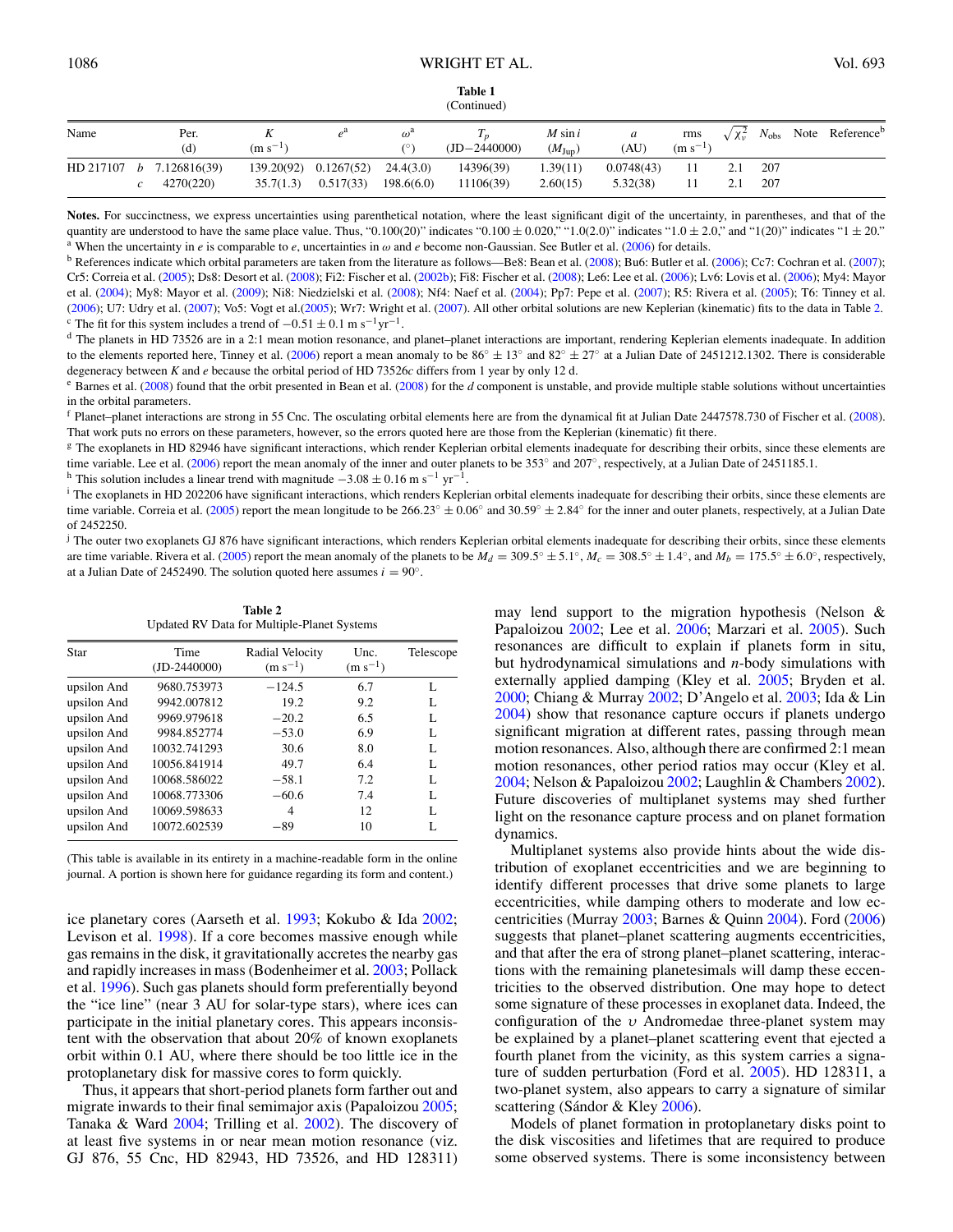<span id="page-2-0"></span>

| Name | Per.                       |              |                       | $\omega^a$ |                | $M \sin i$         | a          | rms          |     | $\sqrt{\chi_v^2}$ $N_{\text{obs}}$ Note Reference <sup>b</sup> |
|------|----------------------------|--------------|-----------------------|------------|----------------|--------------------|------------|--------------|-----|----------------------------------------------------------------|
|      | (d)                        | $(m s^{-1})$ |                       |            | $(ID-2440000)$ | $(M_{\text{Jup}})$ | (AU)       | $(m s^{-1})$ |     |                                                                |
|      | HD 217107 $b$ 7.126816(39) |              | 139.20(92) 0.1267(52) | 24.4(3.0)  | 14396(39)      | .39(11)            | 0.0748(43) | 11           | 207 |                                                                |
|      | 4270(220)                  | 35.7(1.3)    | 0.517(33)             | 198.6(6.0) | 11106(39)      | 2.60(15)           | 5.32(38)   |              | 207 |                                                                |

quantity are understood to have the same place value. Thus, "0.100(20)" indicates "0.100  $\pm$  0.020," "1.0(2.0)" indicates "1.0  $\pm$  2.0," and "1(20)" indicates "1  $\pm$  20."<br><sup>a</sup> When the uncertainty in *e* is comparable t

<sup>b</sup> References indicate which orbital parameters are taken from the literature as follows—Be8: Bean et al. [\(2008\)](#page-14-0); Bu6: Butler et al. [\(2006\)](#page-14-0); Cc7: Cochran et al. [\(2007\)](#page-14-0); Cr5: Correia et al. [\(2005\)](#page-14-0); Ds8: Desort et al. [\(2008\)](#page-14-0); Fi2: Fischer et al. [\(2002b\)](#page-15-0); Fi8: Fischer et al. [\(2008\)](#page-15-0); Le6: Lee et al. [\(2006\)](#page-15-0); Lv6: Lovis et al. [\(2006\)](#page-15-0); My4: Mayor et al. [\(2004\)](#page-15-0); My8: Mayor et al. [\(2009\)](#page-15-0); Ni8: Niedzielski et al. [\(2008\)](#page-15-0); Nf4: Naef et al. [\(2004\)](#page-15-0); Pp7: Pepe et al. [\(2007\)](#page-15-0); R5: Rivera et al. [\(2005\)](#page-15-0); T6: Tinney et al. [\(2006\)](#page-15-0); U7: Udry et al. [\(2007\)](#page-15-0); Vo5: Vogt et al.[\(2005\)](#page-15-0); Wr7: Wright et al. [\(2007\)](#page-15-0). All other orbital solutions are new Keplerian (kinematic) fits to the data in Table 2. <sup>c</sup> The fit for this system includes a trend of  $-0.51 \pm 0.1$  m s<sup>-1</sup>yr<sup>-1</sup>.<br><sup>d</sup> The planets in HD 73526 are in a 2:1 mean motion resonance, and planet-planet interactions are important, rendering Keplerian elements inade

to the elements reported here, Tinney et al. [\(2006\)](#page-15-0) report a mean anomaly to be  $86° ± 13°$  and  $82° ± 27°$  at a Julian Date of 2451212.1302. There is considerable degeneracy between *K* and *e* because the orbital period of HD 73526*c* differs from 1 year by only 12 d.

<sup>e</sup> Barnes et al. [\(2008\)](#page-14-0) found that the orbit presented in Bean et al. (2008) for the *d* component is unstable, and provide multiple stable solutions without uncertainties in the orbital parameters.

<sup>f</sup> Planet–planet interactions are strong in 55 Cnc. The osculating orbital elements here are from the dynamical fit at Julian Date 2447578.730 of Fischer et al. [\(2008\)](#page-15-0). That work puts no errors on these parameters, however, so the errors quoted here are those from the Keplerian (kinematic) fit there.

<sup>g</sup> The exoplanets in HD 82946 have significant interactions, which render Keplerian orbital elements inadequate for describing their orbits, since these elements are time variable. Lee et al. [\(2006\)](#page-15-0) report the mean anomaly of the inner and outer planets to be 353° and 207°, respectively, at a Julian Date of 2451185.1. <br><sup>h</sup> This solution includes a linear trend with magnitude  $-3.08 \pm$ 

<sup>i</sup> The exoplanets in HD 202206 have significant interactions, which renders Keplerian orbital elements inadequate for describing their orbits, since these elements are time variable. Correia et al. [\(2005\)](#page-14-0) report the mean longitude to be 266*.*23◦ ± 0*.*06◦ and 30*.*59◦ ± 2*.*84◦ for the inner and outer planets, respectively, at a Julian Date of 2452250.

<sup>j</sup> The outer two exoplanets GJ 876 have significant interactions, which renders Keplerian orbital elements inadequate for describing their orbits, since these elements are time variable. Rivera et al. [\(2005\)](#page-15-0) report the mean anomaly of the planets to be  $M_d = 309.5^{\circ} \pm 5.1^{\circ}$ ,  $M_c = 308.5^{\circ} \pm 1.4^{\circ}$ , and  $M_b = 175.5^{\circ} \pm 6.0^{\circ}$ , respectively, at a Julian Date of 2452490. The solution quoted here assumes  $i = 90°$ .

**Table 2** Updated RV Data for Multiple-Planet Systems

| Star        | Time<br>$(ID-2440000)$ | Radial Velocity<br>$(m s^{-1})$ | Unc.<br>$(m s^{-1})$ | Telescope |
|-------------|------------------------|---------------------------------|----------------------|-----------|
| upsilon And | 9680.753973            | $-124.5$                        | 6.7                  | L         |
| upsilon And | 9942.007812            | 19.2                            | 9.2                  | L         |
| upsilon And | 9969.979618            | $-20.2$                         | 6.5                  | L         |
| upsilon And | 9984.852774            | $-53.0$                         | 6.9                  | L         |
| upsilon And | 10032.741293           | 30.6                            | 8.0                  | L         |
| upsilon And | 10056.841914           | 49.7                            | 6.4                  | L         |
| upsilon And | 10068.586022           | $-58.1$                         | 7.2                  | L         |
| upsilon And | 10068.773306           | $-60.6$                         | 7.4                  | L         |
| upsilon And | 10069.598633           | 4                               | 12                   | L         |
| upsilon And | 10072.602539           | $-89$                           | 10                   | L         |

(This table is available in its entirety in a machine-readable form in the online journal. A portion is shown here for guidance regarding its form and content.)

ice planetary cores (Aarseth et al. [1993;](#page-14-0) Kokubo & Ida [2002;](#page-15-0) Levison et al. [1998\)](#page-15-0). If a core becomes massive enough while gas remains in the disk, it gravitationally accretes the nearby gas and rapidly increases in mass (Bodenheimer et al. [2003;](#page-14-0) Pollack et al. [1996\)](#page-15-0). Such gas planets should form preferentially beyond the "ice line" (near 3 AU for solar-type stars), where ices can participate in the initial planetary cores. This appears inconsistent with the observation that about 20% of known exoplanets orbit within 0.1 AU, where there should be too little ice in the protoplanetary disk for massive cores to form quickly.

Thus, it appears that short-period planets form farther out and migrate inwards to their final semimajor axis (Papaloizou [2005;](#page-15-0) Tanaka & Ward [2004;](#page-15-0) Trilling et al. [2002\)](#page-15-0). The discovery of at least five systems in or near mean motion resonance (viz. GJ 876, 55 Cnc, HD 82943, HD 73526, and HD 128311) may lend support to the migration hypothesis (Nelson & Papaloizou [2002;](#page-15-0) Lee et al. [2006;](#page-15-0) Marzari et al. [2005\)](#page-15-0). Such resonances are difficult to explain if planets form in situ, but hydrodynamical simulations and *n*-body simulations with externally applied damping (Kley et al. [2005;](#page-15-0) Bryden et al. [2000;](#page-14-0) Chiang & Murray [2002;](#page-14-0) D'Angelo et al. [2003;](#page-14-0) Ida & Lin [2004\)](#page-15-0) show that resonance capture occurs if planets undergo significant migration at different rates, passing through mean motion resonances. Also, although there are confirmed 2:1 mean motion resonances, other period ratios may occur (Kley et al. [2004;](#page-15-0) Nelson & Papaloizou [2002;](#page-15-0) Laughlin & Chambers [2002\)](#page-15-0). Future discoveries of multiplanet systems may shed further light on the resonance capture process and on planet formation dynamics.

Multiplanet systems also provide hints about the wide distribution of exoplanet eccentricities and we are beginning to identify different processes that drive some planets to large eccentricities, while damping others to moderate and low eccentricities (Murray [2003;](#page-15-0) Barnes & Quinn [2004\)](#page-14-0). Ford [\(2006\)](#page-15-0) suggests that planet–planet scattering augments eccentricities, and that after the era of strong planet–planet scattering, interactions with the remaining planetesimals will damp these eccentricities to the observed distribution. One may hope to detect some signature of these processes in exoplanet data. Indeed, the configuration of the *υ* Andromedae three-planet system may be explained by a planet–planet scattering event that ejected a fourth planet from the vicinity, as this system carries a signature of sudden perturbation (Ford et al. [2005\)](#page-15-0). HD 128311, a two-planet system, also appears to carry a signature of similar scattering (Sándor & Kley  $2006$ ).

Models of planet formation in protoplanetary disks point to the disk viscosities and lifetimes that are required to produce some observed systems. There is some inconsistency between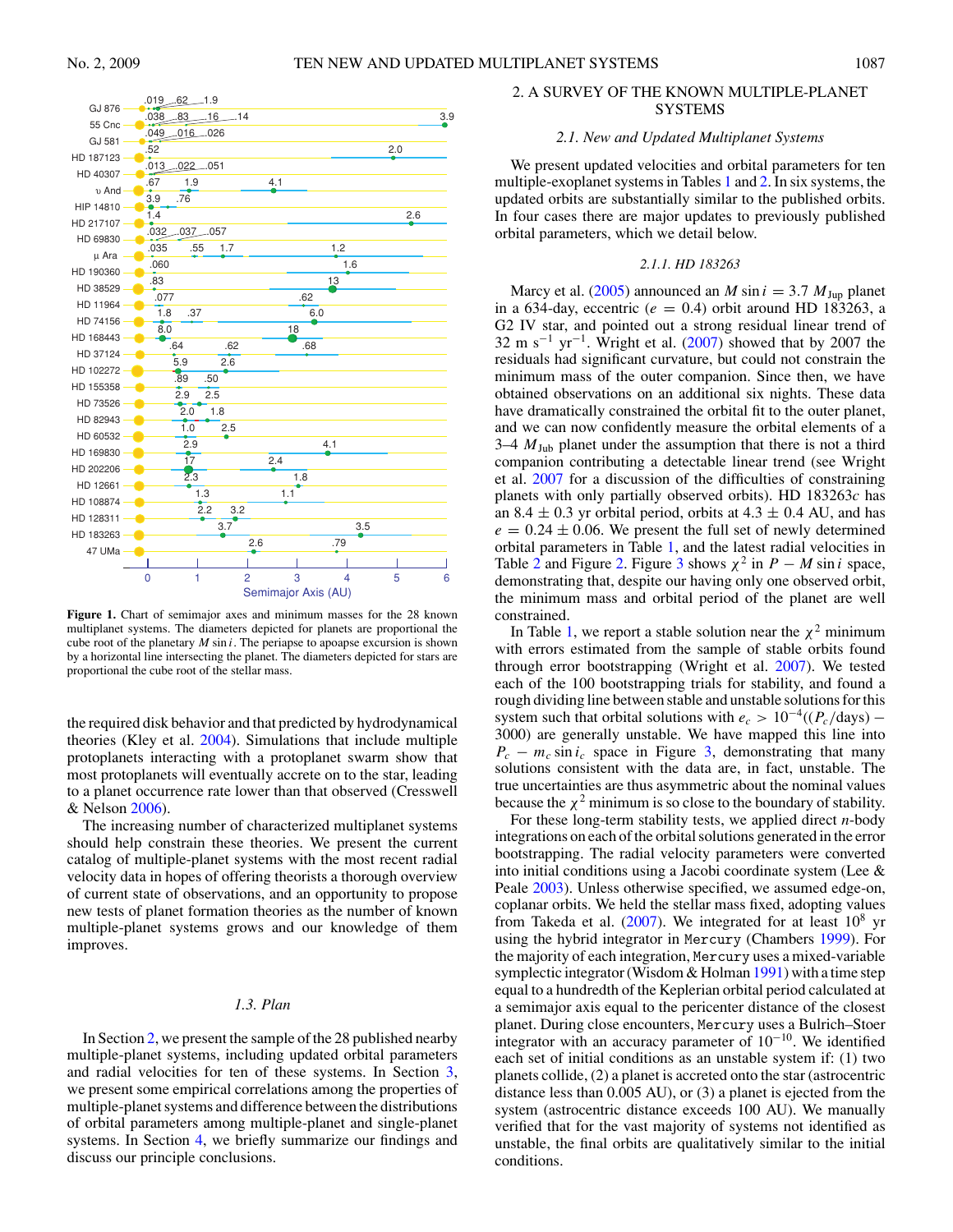<span id="page-3-0"></span>

**Figure 1.** Chart of semimajor axes and minimum masses for the 28 known multiplanet systems. The diameters depicted for planets are proportional the cube root of the planetary *M* sin *i*. The periapse to apoapse excursion is shown by a horizontal line intersecting the planet. The diameters depicted for stars are proportional the cube root of the stellar mass.

the required disk behavior and that predicted by hydrodynamical theories (Kley et al. [2004\)](#page-15-0). Simulations that include multiple protoplanets interacting with a protoplanet swarm show that most protoplanets will eventually accrete on to the star, leading to a planet occurrence rate lower than that observed (Cresswell & Nelson [2006\)](#page-14-0).

The increasing number of characterized multiplanet systems should help constrain these theories. We present the current catalog of multiple-planet systems with the most recent radial velocity data in hopes of offering theorists a thorough overview of current state of observations, and an opportunity to propose new tests of planet formation theories as the number of known multiple-planet systems grows and our knowledge of them improves.

## *1.3. Plan*

In Section 2, we present the sample of the 28 published nearby multiple-planet systems, including updated orbital parameters and radial velocities for ten of these systems. In Section [3,](#page-7-0) we present some empirical correlations among the properties of multiple-planet systems and difference between the distributions of orbital parameters among multiple-planet and single-planet systems. In Section [4,](#page-13-0) we briefly summarize our findings and discuss our principle conclusions.

# 2. A SURVEY OF THE KNOWN MULTIPLE-PLANET SYSTEMS

# *2.1. New and Updated Multiplanet Systems*

We present updated velocities and orbital parameters for ten multiple-exoplanet systems in Tables [1](#page-1-0) and [2.](#page-2-0) In six systems, the updated orbits are substantially similar to the published orbits. In four cases there are major updates to previously published orbital parameters, which we detail below.

## *2.1.1. HD 183263*

Marcy et al. [\(2005\)](#page-15-0) announced an *M* sin  $i = 3.7$  *M*<sub>Jup</sub> planet in a 634-day, eccentric ( $e = 0.4$ ) orbit around HD 183263, a G2 IV star, and pointed out a strong residual linear trend of 32 m s<sup>-1</sup> yr<sup>-1</sup>. Wright et al.  $(2007)$  showed that by 2007 the residuals had significant curvature, but could not constrain the minimum mass of the outer companion. Since then, we have obtained observations on an additional six nights. These data have dramatically constrained the orbital fit to the outer planet, and we can now confidently measure the orbital elements of a  $3-4$   $M_{\text{Jub}}$  planet under the assumption that there is not a third companion contributing a detectable linear trend (see Wright et al. [2007](#page-15-0) for a discussion of the difficulties of constraining planets with only partially observed orbits). HD 183263*c* has an 8.4  $\pm$  0.3 yr orbital period, orbits at 4.3  $\pm$  0.4 AU, and has  $e = 0.24 \pm 0.06$ . We present the full set of newly determined orbital parameters in Table [1,](#page-1-0) and the latest radial velocities in Table [2](#page-2-0) and Figure [2.](#page-4-0) Figure [3](#page-4-0) shows  $\chi^2$  in *P* − *M* sin *i* space, demonstrating that, despite our having only one observed orbit, the minimum mass and orbital period of the planet are well constrained.

In Table [1,](#page-1-0) we report a stable solution near the  $\chi^2$  minimum with errors estimated from the sample of stable orbits found through error bootstrapping (Wright et al. [2007\)](#page-15-0). We tested each of the 100 bootstrapping trials for stability, and found a rough dividing line between stable and unstable solutions for this system such that orbital solutions with  $e_c > 10^{-4}((P_c/\text{days}) -$ 3000) are generally unstable. We have mapped this line into  $P_c - m_c \sin i_c$  space in Figure [3,](#page-4-0) demonstrating that many solutions consistent with the data are, in fact, unstable. The true uncertainties are thus asymmetric about the nominal values because the  $\chi^2$  minimum is so close to the boundary of stability.

For these long-term stability tests, we applied direct *n*-body integrations on each of the orbital solutions generated in the error bootstrapping. The radial velocity parameters were converted into initial conditions using a Jacobi coordinate system (Lee & Peale [2003\)](#page-15-0). Unless otherwise specified, we assumed edge-on, coplanar orbits. We held the stellar mass fixed, adopting values from Takeda et al.  $(2007)$ . We integrated for at least  $10^8$  yr using the hybrid integrator in Mercury (Chambers [1999\)](#page-14-0). For the majority of each integration, Mercury uses a mixed-variable symplectic integrator (Wisdom & Holman [1991\)](#page-15-0) with a time step equal to a hundredth of the Keplerian orbital period calculated at a semimajor axis equal to the pericenter distance of the closest planet. During close encounters, Mercury uses a Bulrich–Stoer integrator with an accuracy parameter of  $10^{-10}$ . We identified each set of initial conditions as an unstable system if: (1) two planets collide, (2) a planet is accreted onto the star (astrocentric distance less than 0.005 AU), or (3) a planet is ejected from the system (astrocentric distance exceeds 100 AU). We manually verified that for the vast majority of systems not identified as unstable, the final orbits are qualitatively similar to the initial conditions.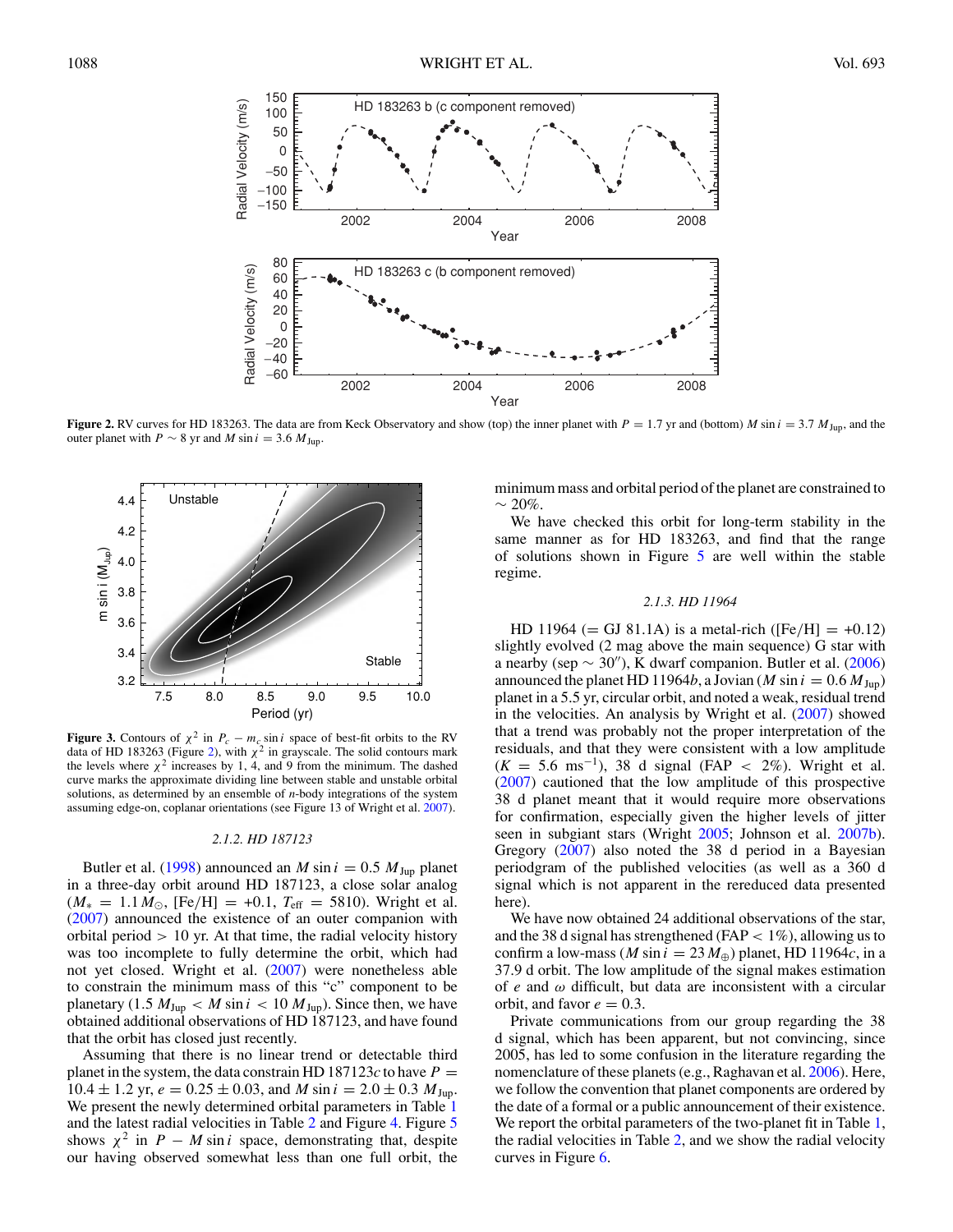<span id="page-4-0"></span>

**Figure 2.** RV curves for HD 183263. The data are from Keck Observatory and show (top) the inner planet with  $P = 1.7$  yr and (bottom) *M* sin  $i = 3.7$   $M_{\text{Jup}}$ , and the outer planet with *P*  $\sim$  8 yr and *M* sin *i* = 3.6  $M_{\text{Jup}}$ .



**Figure 3.** Contours of  $\chi^2$  in  $P_c - m_c \sin i$  space of best-fit orbits to the RV data of HD 183263 (Figure 2), with  $\chi^2$  in grayscale. The solid contours mark the levels where  $\chi^2$  increases by 1, 4, and 9 from the minimum. The dashed curve marks the approximate dividing line between stable and unstable orbital solutions, as determined by an ensemble of *n*-body integrations of the system assuming edge-on, coplanar orientations (see Figure 13 of Wright et al. [2007\)](#page-15-0).

#### *2.1.2. HD 187123*

Butler et al. [\(1998\)](#page-14-0) announced an *M* sin  $i = 0.5$  *M* J<sub>up</sub> planet in a three-day orbit around HD 187123, a close solar analog  $(M_* = 1.1 M_{\odot}$ , [Fe/H] = +0.1,  $T_{\text{eff}} = 5810$ ). Wright et al. [\(2007\)](#page-15-0) announced the existence of an outer companion with orbital period *>* 10 yr. At that time, the radial velocity history was too incomplete to fully determine the orbit, which had not yet closed. Wright et al. [\(2007\)](#page-15-0) were nonetheless able to constrain the minimum mass of this "c" component to be planetary  $(1.5 M<sub>Jup</sub>)  $\langle M \sin i \rangle < 10 M<sub>Jup</sub>$ ). Since then, we have$ obtained additional observations of HD 187123, and have found that the orbit has closed just recently.

Assuming that there is no linear trend or detectable third planet in the system, the data constrain HD 187123 $c$  to have  $P =$  $10.4 \pm 1.2$  yr,  $e = 0.25 \pm 0.03$ , and *M* sin  $i = 2.0 \pm 0.3$  *M*<sub>Jup</sub>. We present the newly determined orbital parameters in Table [1](#page-1-0) and the latest radial velocities in Table [2](#page-2-0) and Figure [4.](#page-5-0) Figure [5](#page-5-0) shows  $\chi^2$  in *P* − *M* sin *i* space, demonstrating that, despite our having observed somewhat less than one full orbit, the minimum mass and orbital period of the planet are constrained to  $~\sim$  20%.

We have checked this orbit for long-term stability in the same manner as for HD 183263, and find that the range of solutions shown in Figure [5](#page-5-0) are well within the stable regime.

## *2.1.3. HD 11964*

HD 11964 (= GJ 81.1A) is a metal-rich ( $[Fe/H] = +0.12$ ) slightly evolved (2 mag above the main sequence) G star with a nearby (sep  $\sim$  30"), K dwarf companion. Butler et al. [\(2006\)](#page-14-0) announced the planet HD 11964*b*, a Jovian (*M* sin  $i = 0.6 M_{\text{Jup}}$ ) planet in a 5.5 yr, circular orbit, and noted a weak, residual trend in the velocities. An analysis by Wright et al. [\(2007\)](#page-15-0) showed that a trend was probably not the proper interpretation of the residuals, and that they were consistent with a low amplitude (*<sup>K</sup>* <sup>=</sup> 5.6 ms−1), 38 d signal (FAP *<sup>&</sup>lt;* 2%). Wright et al. [\(2007\)](#page-15-0) cautioned that the low amplitude of this prospective 38 d planet meant that it would require more observations for confirmation, especially given the higher levels of jitter seen in subgiant stars (Wright [2005;](#page-15-0) Johnson et al. [2007b\)](#page-15-0). Gregory [\(2007\)](#page-15-0) also noted the 38 d period in a Bayesian periodgram of the published velocities (as well as a 360 d signal which is not apparent in the rereduced data presented here).

We have now obtained 24 additional observations of the star, and the 38 d signal has strengthened (FAP *<* 1%), allowing us to confirm a low-mass (*M* sin  $i = 23 M_{\oplus}$ ) planet, HD 11964*c*, in a 37.9 d orbit. The low amplitude of the signal makes estimation of *e* and *ω* difficult, but data are inconsistent with a circular orbit, and favor  $e = 0.3$ .

Private communications from our group regarding the 38 d signal, which has been apparent, but not convincing, since 2005, has led to some confusion in the literature regarding the nomenclature of these planets (e.g., Raghavan et al. [2006\)](#page-15-0). Here, we follow the convention that planet components are ordered by the date of a formal or a public announcement of their existence. We report the orbital parameters of the two-planet fit in Table [1,](#page-1-0) the radial velocities in Table [2,](#page-2-0) and we show the radial velocity curves in Figure [6.](#page-6-0)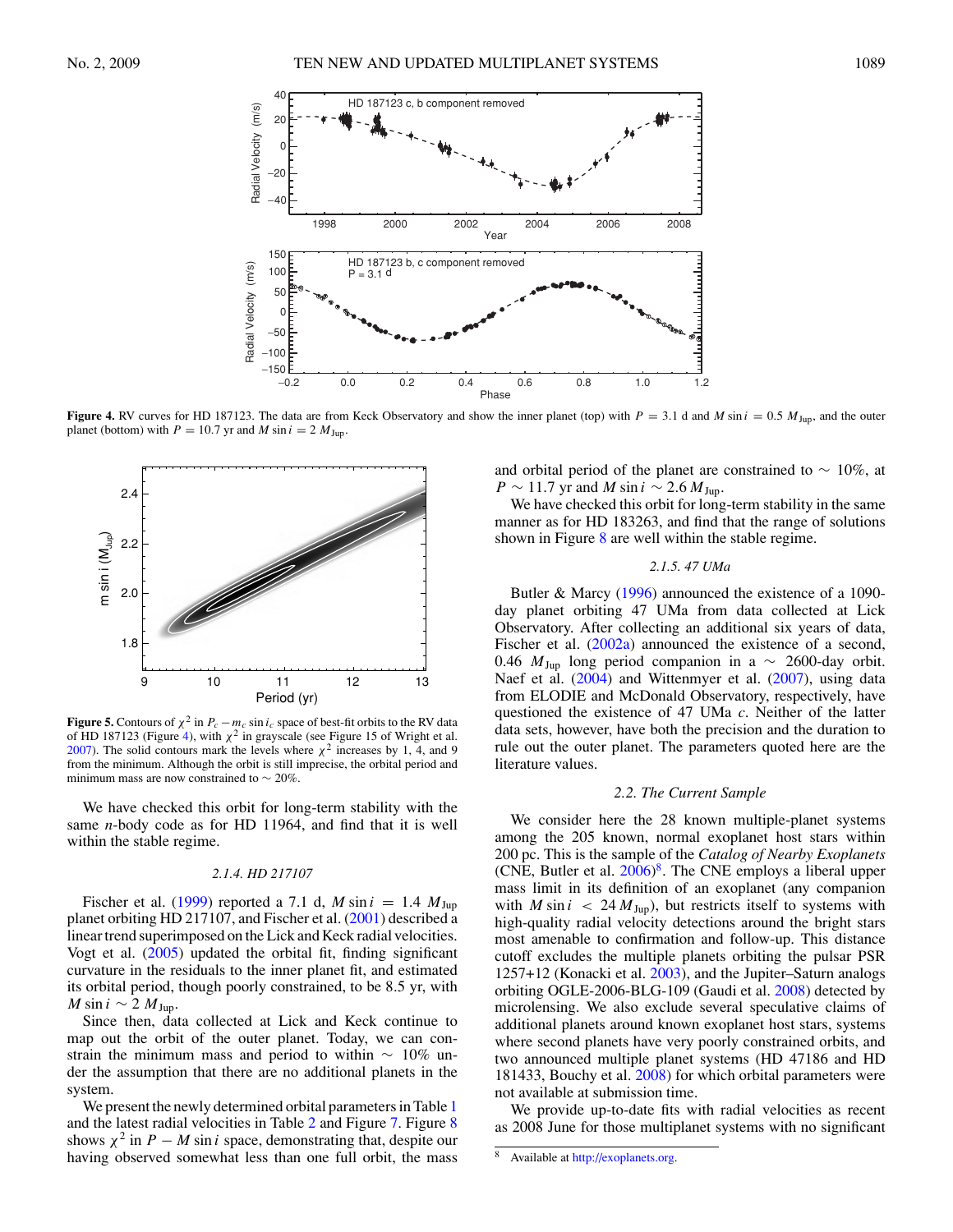<span id="page-5-0"></span>

**Figure 4.** RV curves for HD 187123. The data are from Keck Observatory and show the inner planet (top) with  $P = 3.1$  d and *M* sin  $i = 0.5$   $M_{\text{Jup}}$ , and the outer planet (bottom) with  $P = 10.7$  yr and  $M \sin i = 2 M_{\text{Jup}}$ .



**Figure 5.** Contours of  $\chi^2$  in  $P_c - m_c \sin i_c$  space of best-fit orbits to the RV data of HD 187123 (Figure 4), with  $\chi^2$  in grayscale (see Figure 15 of Wright et al. [2007\)](#page-15-0). The solid contours mark the levels where  $\chi^2$  increases by 1, 4, and 9 from the minimum. Although the orbit is still imprecise, the orbital period and minimum mass are now constrained to  $\sim$  20%.

We have checked this orbit for long-term stability with the same *n*-body code as for HD 11964, and find that it is well within the stable regime.

#### *2.1.4. HD 217107*

Fischer et al. [\(1999\)](#page-14-0) reported a 7.1 d,  $M \sin i = 1.4$   $M_{\text{Jup}}$ planet orbiting HD 217107, and Fischer et al. [\(2001\)](#page-15-0) described a linear trend superimposed on the Lick and Keck radial velocities. Vogt et al. [\(2005\)](#page-15-0) updated the orbital fit, finding significant curvature in the residuals to the inner planet fit, and estimated its orbital period, though poorly constrained, to be 8*.*5 yr, with *M* sin  $i \sim 2$  *M* Jup.

Since then, data collected at Lick and Keck continue to map out the orbit of the outer planet. Today, we can constrain the minimum mass and period to within  $\sim 10\%$  under the assumption that there are no additional planets in the system.

We present the newly determined orbital parameters in Table [1](#page-1-0) and the latest radial velocities in Table [2](#page-2-0) and Figure [7.](#page-6-0) Figure [8](#page-7-0) shows  $\chi^2$  in *P* − *M* sin *i* space, demonstrating that, despite our having observed somewhat less than one full orbit, the mass and orbital period of the planet are constrained to  $\sim 10\%$ , at  $P \sim 11.7$  yr and *M* sin  $i \sim 2.6$  *M*<sub>Jup</sub>.

We have checked this orbit for long-term stability in the same manner as for HD 183263, and find that the range of solutions shown in Figure [8](#page-7-0) are well within the stable regime.

# *2.1.5. 47 UMa*

Butler & Marcy [\(1996\)](#page-14-0) announced the existence of a 1090 day planet orbiting 47 UMa from data collected at Lick Observatory. After collecting an additional six years of data, Fischer et al. [\(2002a\)](#page-14-0) announced the existence of a second, 0.46  $M_{Jup}$  long period companion in a  $\sim$  2600-day orbit. Naef et al. [\(2004\)](#page-15-0) and Wittenmyer et al. [\(2007\)](#page-15-0), using data from ELODIE and McDonald Observatory, respectively, have questioned the existence of 47 UMa *c*. Neither of the latter data sets, however, have both the precision and the duration to rule out the outer planet. The parameters quoted here are the literature values.

## *2.2. The Current Sample*

We consider here the 28 known multiple-planet systems among the 205 known, normal exoplanet host stars within 200 pc. This is the sample of the *Catalog of Nearby Exoplanets* (CNE, Butler et al.  $2006$ )<sup>8</sup>. The CNE employs a liberal upper mass limit in its definition of an exoplanet (any companion with *M* sin  $i < 24 M_{Jup}$ , but restricts itself to systems with high-quality radial velocity detections around the bright stars most amenable to confirmation and follow-up. This distance cutoff excludes the multiple planets orbiting the pulsar PSR 1257+12 (Konacki et al. [2003\)](#page-15-0), and the Jupiter–Saturn analogs orbiting OGLE-2006-BLG-109 (Gaudi et al. [2008\)](#page-15-0) detected by microlensing. We also exclude several speculative claims of additional planets around known exoplanet host stars, systems where second planets have very poorly constrained orbits, and two announced multiple planet systems (HD 47186 and HD 181433, Bouchy et al. [2008\)](#page-14-0) for which orbital parameters were not available at submission time.

We provide up-to-date fits with radial velocities as recent as 2008 June for those multiplanet systems with no significant

<sup>8</sup> Available at  $\frac{http://exoplanets.org}{http://exoplanets.org}$ .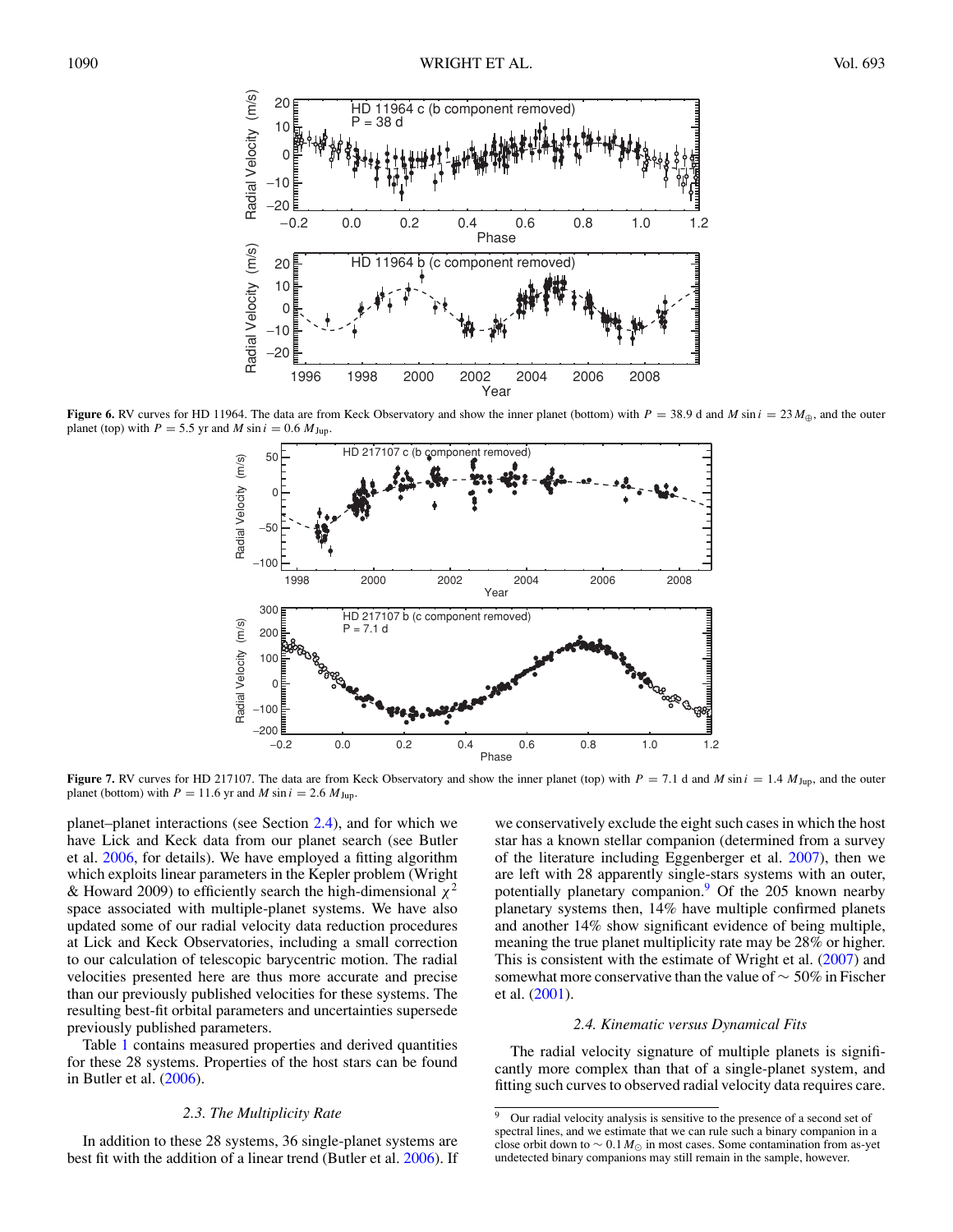<span id="page-6-0"></span>

**Figure 6.** RV curves for HD 11964. The data are from Keck Observatory and show the inner planet (bottom) with  $P = 38.9$  d and *M* sin  $i = 23 M_{\oplus}$ , and the outer planet (top) with  $P = 5.5$  yr and *M* sin  $i = 0.6$   $M_{\text{Jup}}$ .



**Figure 7.** RV curves for HD 217107. The data are from Keck Observatory and show the inner planet (top) with  $P = 7.1$  d and *M* sin  $i = 1.4$   $M_{\text{Jup}}$ , and the outer planet (bottom) with  $P = 11.6$  yr and  $M \sin i = 2.6$   $M_{\text{Jup}}$ .

planet–planet interactions (see Section 2.4), and for which we have Lick and Keck data from our planet search (see Butler et al. [2006,](#page-14-0) for details). We have employed a fitting algorithm which exploits linear parameters in the Kepler problem (Wright & Howard 2009) to efficiently search the high-dimensional *χ*<sup>2</sup> space associated with multiple-planet systems. We have also updated some of our radial velocity data reduction procedures at Lick and Keck Observatories, including a small correction to our calculation of telescopic barycentric motion. The radial velocities presented here are thus more accurate and precise than our previously published velocities for these systems. The resulting best-fit orbital parameters and uncertainties supersede previously published parameters.

Table [1](#page-1-0) contains measured properties and derived quantities for these 28 systems. Properties of the host stars can be found in Butler et al. [\(2006\)](#page-14-0).

# *2.3. The Multiplicity Rate*

In addition to these 28 systems, 36 single-planet systems are best fit with the addition of a linear trend (Butler et al. [2006\)](#page-14-0). If

we conservatively exclude the eight such cases in which the host star has a known stellar companion (determined from a survey of the literature including Eggenberger et al. [2007\)](#page-14-0), then we are left with 28 apparently single-stars systems with an outer, potentially planetary companion.<sup>9</sup> Of the 205 known nearby planetary systems then, 14% have multiple confirmed planets and another 14% show significant evidence of being multiple, meaning the true planet multiplicity rate may be 28% or higher. This is consistent with the estimate of Wright et al. [\(2007\)](#page-15-0) and somewhat more conservative than the value of  $\sim$  50% in Fischer et al. [\(2001\)](#page-15-0).

## *2.4. Kinematic versus Dynamical Fits*

The radial velocity signature of multiple planets is significantly more complex than that of a single-planet system, and fitting such curves to observed radial velocity data requires care.

<sup>&</sup>lt;sup>9</sup> Our radial velocity analysis is sensitive to the presence of a second set of spectral lines, and we estimate that we can rule such a binary companion in a close orbit down to  $\sim 0.1 M_{\odot}$  in most cases. Some contamination from as-yet undetected binary companions may still remain in the sample, however.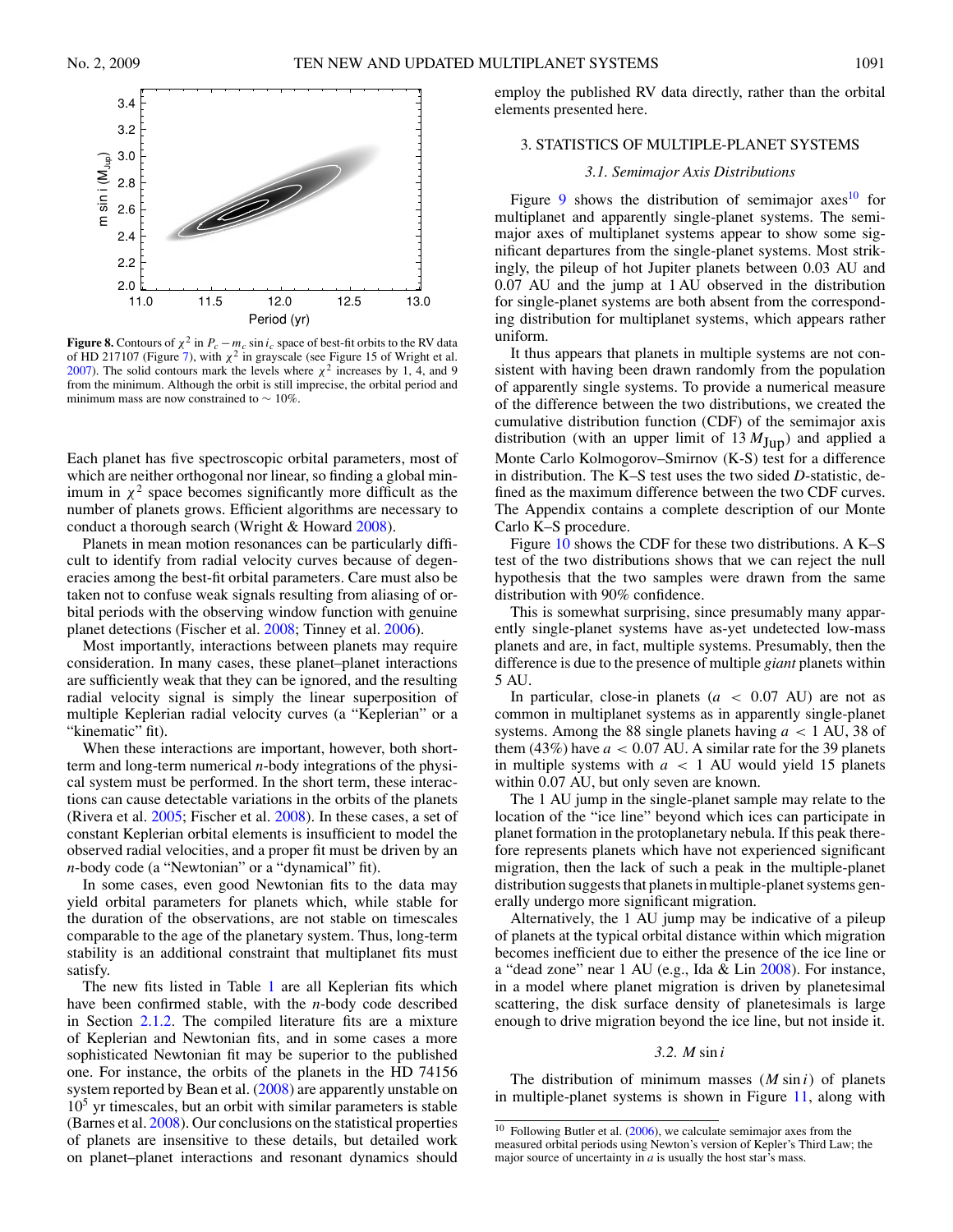<span id="page-7-0"></span>

**Figure 8.** Contours of  $\chi^2$  in  $P_c - m_c \sin i_c$  space of best-fit orbits to the RV data of HD 217107 (Figure [7\)](#page-6-0), with  $\chi^2$  in grayscale (see Figure 15 of Wright et al. [2007\)](#page-15-0). The solid contours mark the levels where  $\chi^2$  increases by 1, 4, and 9 from the minimum. Although the orbit is still imprecise, the orbital period and minimum mass are now constrained to  $\sim 10\%$ .

Each planet has five spectroscopic orbital parameters, most of which are neither orthogonal nor linear, so finding a global minimum in  $\chi^2$  space becomes significantly more difficult as the number of planets grows. Efficient algorithms are necessary to conduct a thorough search (Wright & Howard [2008\)](#page-15-0).

Planets in mean motion resonances can be particularly difficult to identify from radial velocity curves because of degeneracies among the best-fit orbital parameters. Care must also be taken not to confuse weak signals resulting from aliasing of orbital periods with the observing window function with genuine planet detections (Fischer et al. [2008;](#page-15-0) Tinney et al. [2006\)](#page-15-0).

Most importantly, interactions between planets may require consideration. In many cases, these planet–planet interactions are sufficiently weak that they can be ignored, and the resulting radial velocity signal is simply the linear superposition of multiple Keplerian radial velocity curves (a "Keplerian" or a "kinematic" fit).

When these interactions are important, however, both shortterm and long-term numerical *n*-body integrations of the physical system must be performed. In the short term, these interactions can cause detectable variations in the orbits of the planets (Rivera et al. [2005;](#page-15-0) Fischer et al. [2008\)](#page-15-0). In these cases, a set of constant Keplerian orbital elements is insufficient to model the observed radial velocities, and a proper fit must be driven by an *n*-body code (a "Newtonian" or a "dynamical" fit).

In some cases, even good Newtonian fits to the data may yield orbital parameters for planets which, while stable for the duration of the observations, are not stable on timescales comparable to the age of the planetary system. Thus, long-term stability is an additional constraint that multiplanet fits must satisfy.

The new fits listed in Table [1](#page-1-0) are all Keplerian fits which have been confirmed stable, with the *n*-body code described in Section [2.1.2.](#page-4-0) The compiled literature fits are a mixture of Keplerian and Newtonian fits, and in some cases a more sophisticated Newtonian fit may be superior to the published one. For instance, the orbits of the planets in the HD 74156 system reported by Bean et al. [\(2008\)](#page-14-0) are apparently unstable on  $10<sup>5</sup>$  yr timescales, but an orbit with similar parameters is stable (Barnes et al. [2008\)](#page-14-0). Our conclusions on the statistical properties of planets are insensitive to these details, but detailed work on planet–planet interactions and resonant dynamics should

employ the published RV data directly, rather than the orbital elements presented here.

## 3. STATISTICS OF MULTIPLE-PLANET SYSTEMS

### *3.1. Semimajor Axis Distributions*

Figure [9](#page-8-0) shows the distribution of semimajor axes <sup>10</sup> for multiplanet and apparently single-planet systems. The semimajor axes of multiplanet systems appear to show some significant departures from the single-planet systems. Most strikingly, the pileup of hot Jupiter planets between 0.03 AU and 0.07 AU and the jump at 1 AU observed in the distribution for single-planet systems are both absent from the corresponding distribution for multiplanet systems, which appears rather uniform.

It thus appears that planets in multiple systems are not consistent with having been drawn randomly from the population of apparently single systems. To provide a numerical measure of the difference between the two distributions, we created the cumulative distribution function (CDF) of the semimajor axis distribution (with an upper limit of  $13 M_{Jup}$ ) and applied a Monte Carlo Kolmogorov–Smirnov (K-S) test for a difference in distribution. The K–S test uses the two sided *D*-statistic, defined as the maximum difference between the two CDF curves. The Appendix contains a complete description of our Monte Carlo K–S procedure.

Figure [10](#page-8-0) shows the CDF for these two distributions. A K–S test of the two distributions shows that we can reject the null hypothesis that the two samples were drawn from the same distribution with 90% confidence.

This is somewhat surprising, since presumably many apparently single-planet systems have as-yet undetected low-mass planets and are, in fact, multiple systems. Presumably, then the difference is due to the presence of multiple *giant* planets within 5 AU.

In particular, close-in planets (*a <* 0*.*07 AU) are not as common in multiplanet systems as in apparently single-planet systems. Among the 88 single planets having *a <* 1 AU, 38 of them  $(43%)$  have  $a < 0.07$  AU. A similar rate for the 39 planets in multiple systems with *a <* 1 AU would yield 15 planets within 0*.*07 AU, but only seven are known.

The 1 AU jump in the single-planet sample may relate to the location of the "ice line" beyond which ices can participate in planet formation in the protoplanetary nebula. If this peak therefore represents planets which have not experienced significant migration, then the lack of such a peak in the multiple-planet distribution suggests that planets in multiple-planet systems generally undergo more significant migration.

Alternatively, the 1 AU jump may be indicative of a pileup of planets at the typical orbital distance within which migration becomes inefficient due to either the presence of the ice line or a "dead zone" near 1 AU (e.g., Ida & Lin [2008\)](#page-15-0). For instance, in a model where planet migration is driven by planetesimal scattering, the disk surface density of planetesimals is large enough to drive migration beyond the ice line, but not inside it.

## *3.2. M* sin *i*

The distribution of minimum masses (*M* sin *i*) of planets in multiple-planet systems is shown in Figure [11,](#page-8-0) along with

 $10$  Following Butler et al. [\(2006\)](#page-14-0), we calculate semimajor axes from the measured orbital periods using Newton's version of Kepler's Third Law; the major source of uncertainty in *a* is usually the host star's mass.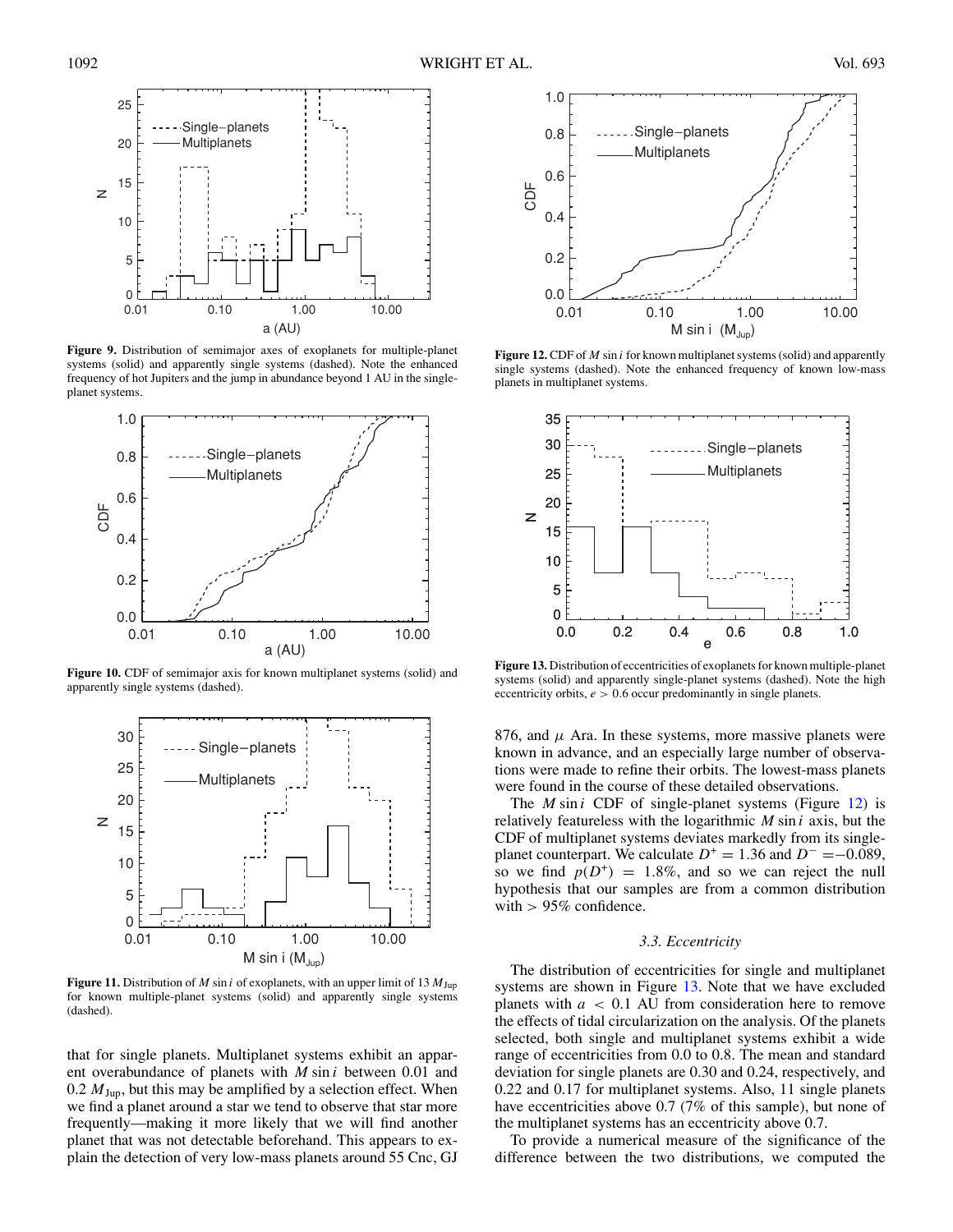<span id="page-8-0"></span>

**Figure 9.** Distribution of semimajor axes of exoplanets for multiple-planet systems (solid) and apparently single systems (dashed). Note the enhanced frequency of hot Jupiters and the jump in abundance beyond 1 AU in the singleplanet systems.



**Figure 10.** CDF of semimajor axis for known multiplanet systems (solid) and apparently single systems (dashed).



**Figure 11.** Distribution of *M* sin *i* of exoplanets, with an upper limit of 13 *M*Jup for known multiple-planet systems (solid) and apparently single systems (dashed).

that for single planets. Multiplanet systems exhibit an apparent overabundance of planets with *M* sin *i* between 0.01 and 0.2  $M_{\text{Jup}}$ , but this may be amplified by a selection effect. When we find a planet around a star we tend to observe that star more frequently—making it more likely that we will find another planet that was not detectable beforehand. This appears to explain the detection of very low-mass planets around 55 Cnc, GJ



**Figure 12.** CDF of *M* sin *i* for known multiplanet systems (solid) and apparently single systems (dashed). Note the enhanced frequency of known low-mass planets in multiplanet systems.



**Figure 13.** Distribution of eccentricities of exoplanets for known multiple-planet systems (solid) and apparently single-planet systems (dashed). Note the high eccentricity orbits, *e >* 0*.*6 occur predominantly in single planets.

876, and  $\mu$  Ara. In these systems, more massive planets were known in advance, and an especially large number of observations were made to refine their orbits. The lowest-mass planets were found in the course of these detailed observations.

The *M* sin *i* CDF of single-planet systems (Figure 12) is relatively featureless with the logarithmic *M* sin *i* axis, but the CDF of multiplanet systems deviates markedly from its singleplanet counterpart. We calculate  $D^+ = 1.36$  and  $D^- = -0.089$ , so we find  $p(D^+) = 1.8\%$ , and so we can reject the null hypothesis that our samples are from a common distribution with *>* 95% confidence.

## *3.3. Eccentricity*

The distribution of eccentricities for single and multiplanet systems are shown in Figure 13. Note that we have excluded planets with *a <* 0*.*1 AU from consideration here to remove the effects of tidal circularization on the analysis. Of the planets selected, both single and multiplanet systems exhibit a wide range of eccentricities from 0.0 to 0.8. The mean and standard deviation for single planets are 0.30 and 0.24, respectively, and 0.22 and 0.17 for multiplanet systems. Also, 11 single planets have eccentricities above 0.7 (7% of this sample), but none of the multiplanet systems has an eccentricity above 0.7.

To provide a numerical measure of the significance of the difference between the two distributions, we computed the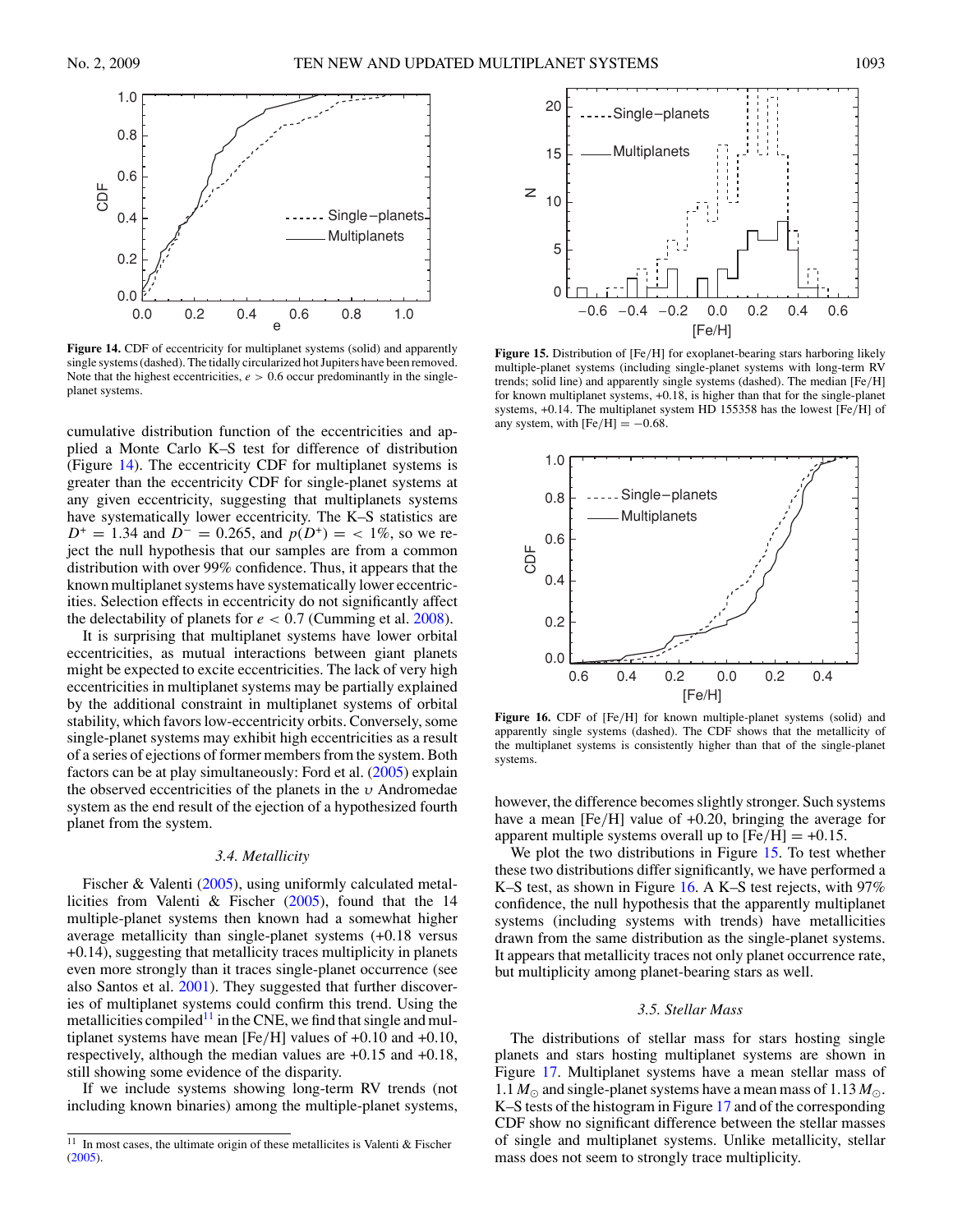

Figure 14. CDF of eccentricity for multiplanet systems (solid) and apparently single systems (dashed). The tidally circularized hot Jupiters have been removed. Note that the highest eccentricities,  $e > 0.6$  occur predominantly in the singleplanet systems.

cumulative distribution function of the eccentricities and applied a Monte Carlo K–S test for difference of distribution (Figure 14). The eccentricity CDF for multiplanet systems is greater than the eccentricity CDF for single-planet systems at any given eccentricity, suggesting that multiplanets systems have systematically lower eccentricity. The K–S statistics are  $D^+ = 1.34$  and  $D^- = 0.265$ , and  $p(D^+) = \langle 1\%, \text{ so we re-} \rangle$ ject the null hypothesis that our samples are from a common distribution with over 99% confidence. Thus, it appears that the known multiplanet systems have systematically lower eccentricities. Selection effects in eccentricity do not significantly affect the delectability of planets for  $e < 0.7$  (Cumming et al.  $2008$ ).

It is surprising that multiplanet systems have lower orbital eccentricities, as mutual interactions between giant planets might be expected to excite eccentricities. The lack of very high eccentricities in multiplanet systems may be partially explained by the additional constraint in multiplanet systems of orbital stability, which favors low-eccentricity orbits. Conversely, some single-planet systems may exhibit high eccentricities as a result of a series of ejections of former members from the system. Both factors can be at play simultaneously: Ford et al. [\(2005\)](#page-15-0) explain the observed eccentricities of the planets in the *υ* Andromedae system as the end result of the ejection of a hypothesized fourth planet from the system.

## *3.4. Metallicity*

Fischer & Valenti [\(2005\)](#page-15-0), using uniformly calculated metallicities from Valenti & Fischer [\(2005\)](#page-15-0), found that the 14 multiple-planet systems then known had a somewhat higher average metallicity than single-planet systems (+0.18 versus +0.14), suggesting that metallicity traces multiplicity in planets even more strongly than it traces single-planet occurrence (see also Santos et al. [2001\)](#page-15-0). They suggested that further discoveries of multiplanet systems could confirm this trend. Using the metallicities compiled<sup>11</sup> in the CNE, we find that single and multiplanet systems have mean [Fe*/*H] values of +0.10 and +0.10, respectively, although the median values are +0.15 and +0.18, still showing some evidence of the disparity.

If we include systems showing long-term RV trends (not including known binaries) among the multiple-planet systems,



**Figure 15.** Distribution of [Fe*/*H] for exoplanet-bearing stars harboring likely multiple-planet systems (including single-planet systems with long-term RV trends; solid line) and apparently single systems (dashed). The median [Fe*/*H] for known multiplanet systems, +0.18, is higher than that for the single-planet systems, +0.14. The multiplanet system HD 155358 has the lowest [Fe*/*H] of any system, with  $[Fe/H] = -0.68$ .



**Figure 16.** CDF of [Fe*/*H] for known multiple-planet systems (solid) and apparently single systems (dashed). The CDF shows that the metallicity of the multiplanet systems is consistently higher than that of the single-planet systems.

however, the difference becomes slightly stronger. Such systems have a mean [Fe*/*H] value of +0.20, bringing the average for apparent multiple systems overall up to  $[Fe/H] = +0.15$ .

We plot the two distributions in Figure 15. To test whether these two distributions differ significantly, we have performed a K–S test, as shown in Figure 16. A K–S test rejects, with 97% confidence, the null hypothesis that the apparently multiplanet systems (including systems with trends) have metallicities drawn from the same distribution as the single-planet systems. It appears that metallicity traces not only planet occurrence rate, but multiplicity among planet-bearing stars as well.

## *3.5. Stellar Mass*

The distributions of stellar mass for stars hosting single planets and stars hosting multiplanet systems are shown in Figure [17.](#page-10-0) Multiplanet systems have a mean stellar mass of 1.1  $M_{\odot}$  and single-planet systems have a mean mass of 1.13  $M_{\odot}$ . K–S tests of the histogram in Figure [17](#page-10-0) and of the corresponding CDF show no significant difference between the stellar masses of single and multiplanet systems. Unlike metallicity, stellar mass does not seem to strongly trace multiplicity.

<sup>&</sup>lt;sup>11</sup> In most cases, the ultimate origin of these metallicites is Valenti & Fischer [\(2005\)](#page-15-0).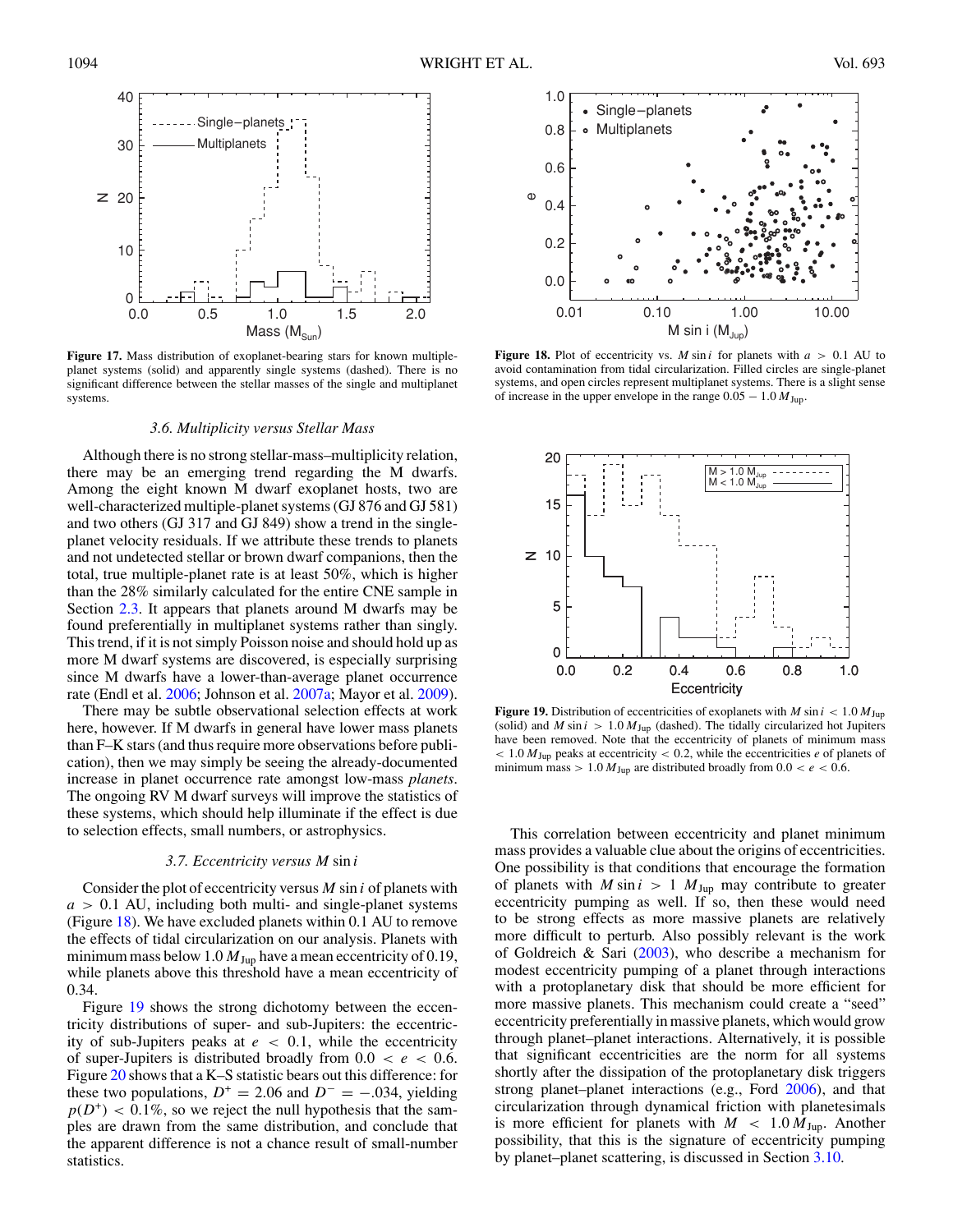<span id="page-10-0"></span>

**Figure 17.** Mass distribution of exoplanet-bearing stars for known multipleplanet systems (solid) and apparently single systems (dashed). There is no significant difference between the stellar masses of the single and multiplanet systems.

## *3.6. Multiplicity versus Stellar Mass*

Although there is no strong stellar-mass–multiplicity relation, there may be an emerging trend regarding the M dwarfs. Among the eight known M dwarf exoplanet hosts, two are well-characterized multiple-planet systems (GJ 876 and GJ 581) and two others (GJ 317 and GJ 849) show a trend in the singleplanet velocity residuals. If we attribute these trends to planets and not undetected stellar or brown dwarf companions, then the total, true multiple-planet rate is at least 50%, which is higher than the 28% similarly calculated for the entire CNE sample in Section [2.3.](#page-6-0) It appears that planets around M dwarfs may be found preferentially in multiplanet systems rather than singly. This trend, if it is not simply Poisson noise and should hold up as more M dwarf systems are discovered, is especially surprising since M dwarfs have a lower-than-average planet occurrence rate (Endl et al. [2006;](#page-14-0) Johnson et al. [2007a;](#page-15-0) Mayor et al. [2009\)](#page-15-0).

There may be subtle observational selection effects at work here, however. If M dwarfs in general have lower mass planets than F–K stars (and thus require more observations before publication), then we may simply be seeing the already-documented increase in planet occurrence rate amongst low-mass *planets*. The ongoing RV M dwarf surveys will improve the statistics of these systems, which should help illuminate if the effect is due to selection effects, small numbers, or astrophysics.

#### *3.7. Eccentricity versus M* sin *i*

Consider the plot of eccentricity versus *M* sin *i* of planets with *a >* 0*.*1 AU, including both multi- and single-planet systems (Figure 18). We have excluded planets within 0.1 AU to remove the effects of tidal circularization on our analysis. Planets with minimum mass below 1.0  $M_{Jup}$  have a mean eccentricity of 0.19, while planets above this threshold have a mean eccentricity of 0.34.

Figure 19 shows the strong dichotomy between the eccentricity distributions of super- and sub-Jupiters: the eccentricity of sub-Jupiters peaks at *e <* 0*.*1, while the eccentricity of super-Jupiters is distributed broadly from  $0.0 < e < 0.6$ . Figure [20](#page-11-0) shows that a K–S statistic bears out this difference: for these two populations,  $D^+ = 2.06$  and  $D^- = -0.034$ , yielding  $p(D^+)$  < 0.1%, so we reject the null hypothesis that the samples are drawn from the same distribution, and conclude that the apparent difference is not a chance result of small-number statistics.



**Figure 18.** Plot of eccentricity vs. *M* sin *i* for planets with  $a > 0.1$  AU to avoid contamination from tidal circularization. Filled circles are single-planet systems, and open circles represent multiplanet systems. There is a slight sense of increase in the upper envelope in the range  $0.05 - 1.0 M_{Jup}$ .



**Figure 19.** Distribution of eccentricities of exoplanets with *M* sin  $i < 1.0 M_{\text{Jup}}$ (solid) and *M* sin  $i > 1.0 M_{Jup}$  (dashed). The tidally circularized hot Jupiters have been removed. Note that the eccentricity of planets of minimum mass *<* 1*.*0 *M*Jup peaks at eccentricity *<* 0*.*2, while the eccentricities *e* of planets of minimum mass  $> 1.0 M_{Jup}$  are distributed broadly from  $0.0 < e < 0.6$ .

This correlation between eccentricity and planet minimum mass provides a valuable clue about the origins of eccentricities. One possibility is that conditions that encourage the formation of planets with  $M \sin i > 1$   $M_{\text{Jup}}$  may contribute to greater eccentricity pumping as well. If so, then these would need to be strong effects as more massive planets are relatively more difficult to perturb. Also possibly relevant is the work of Goldreich & Sari [\(2003\)](#page-15-0), who describe a mechanism for modest eccentricity pumping of a planet through interactions with a protoplanetary disk that should be more efficient for more massive planets. This mechanism could create a "seed" eccentricity preferentially in massive planets, which would grow through planet–planet interactions. Alternatively, it is possible that significant eccentricities are the norm for all systems shortly after the dissipation of the protoplanetary disk triggers strong planet–planet interactions (e.g., Ford [2006\)](#page-15-0), and that circularization through dynamical friction with planetesimals is more efficient for planets with  $M < 1.0 M_{Jup}$ . Another possibility, that this is the signature of eccentricity pumping by planet–planet scattering, is discussed in Section [3.10.](#page-11-0)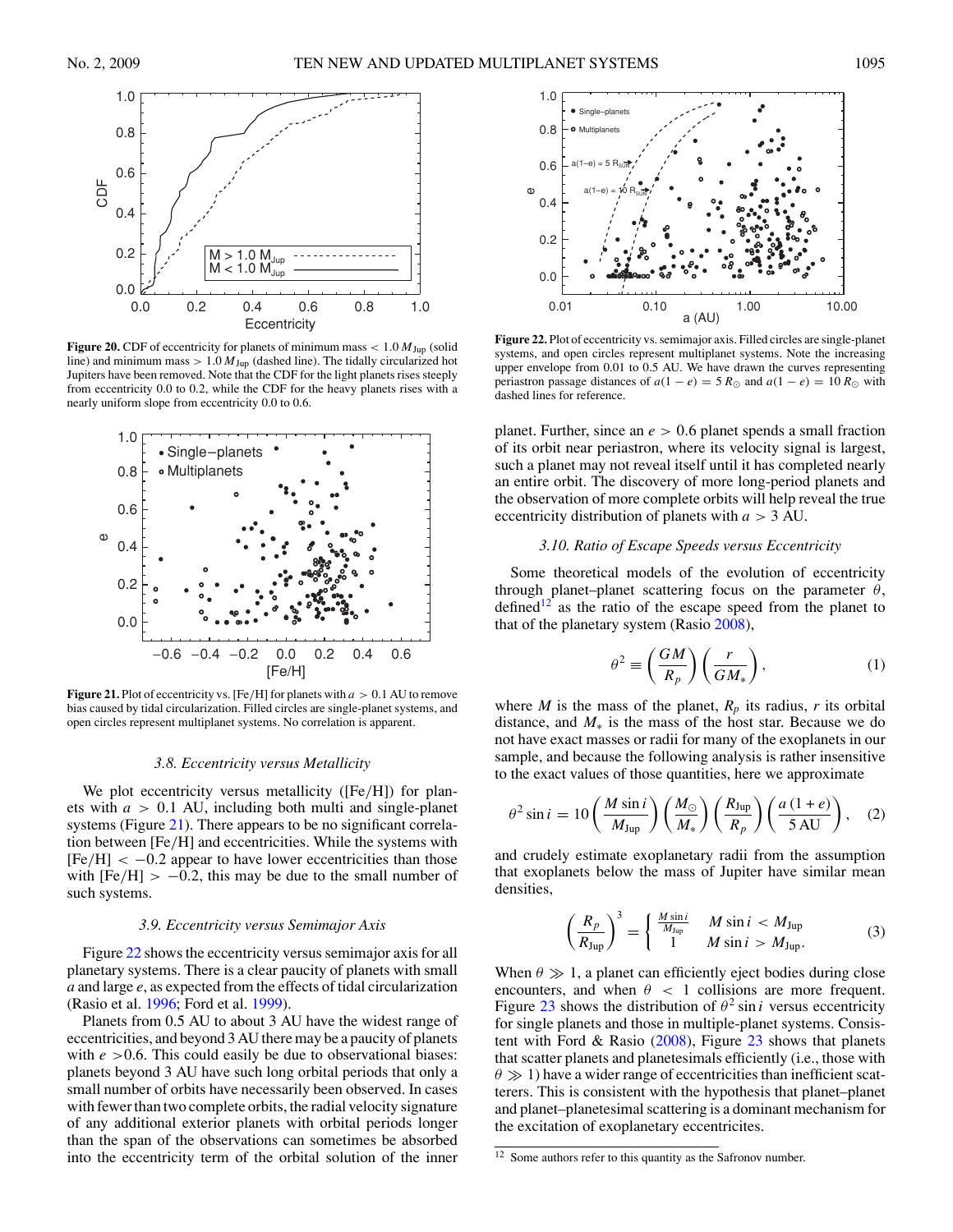<span id="page-11-0"></span>

**Figure 20.** CDF of eccentricity for planets of minimum mass  $< 1.0 M_{Jup}$  (solid line) and minimum mass  $> 1.0 M_{Jup}$  (dashed line). The tidally circularized hot Jupiters have been removed. Note that the CDF for the light planets rises steeply from eccentricity 0.0 to 0.2, while the CDF for the heavy planets rises with a nearly uniform slope from eccentricity 0.0 to 0.6.



**Figure 21.** Plot of eccentricity vs. [Fe*/*H] for planets with *a >* 0*.*1 AU to remove bias caused by tidal circularization. Filled circles are single-planet systems, and open circles represent multiplanet systems. No correlation is apparent.

#### *3.8. Eccentricity versus Metallicity*

We plot eccentricity versus metallicity ([Fe*/*H]) for planets with *a >* 0*.*1 AU, including both multi and single-planet systems (Figure 21). There appears to be no significant correlation between [Fe*/*H] and eccentricities. While the systems with [Fe*/*H] *<* −0*.*2 appear to have lower eccentricities than those with  $[Fe/H] > -0.2$ , this may be due to the small number of such systems.

## *3.9. Eccentricity versus Semimajor Axis*

Figure 22 shows the eccentricity versus semimajor axis for all planetary systems. There is a clear paucity of planets with small *a* and large *e*, as expected from the effects of tidal circularization (Rasio et al. [1996;](#page-15-0) Ford et al. [1999\)](#page-15-0).

Planets from 0.5 AU to about 3 AU have the widest range of eccentricities, and beyond 3 AU there may be a paucity of planets with  $e > 0.6$ . This could easily be due to observational biases: planets beyond 3 AU have such long orbital periods that only a small number of orbits have necessarily been observed. In cases with fewer than two complete orbits, the radial velocity signature of any additional exterior planets with orbital periods longer than the span of the observations can sometimes be absorbed into the eccentricity term of the orbital solution of the inner



**Figure 22.** Plot of eccentricity vs. semimajor axis. Filled circles are single-planet systems, and open circles represent multiplanet systems. Note the increasing upper envelope from 0.01 to 0.5 AU. We have drawn the curves representing periastron passage distances of  $a(1 - e) = 5 R_{\odot}$  and  $a(1 - e) = 10 R_{\odot}$  with dashed lines for reference.

planet. Further, since an *e >* 0*.*6 planet spends a small fraction of its orbit near periastron, where its velocity signal is largest, such a planet may not reveal itself until it has completed nearly an entire orbit. The discovery of more long-period planets and the observation of more complete orbits will help reveal the true eccentricity distribution of planets with *a >* 3 AU.

# *3.10. Ratio of Escape Speeds versus Eccentricity*

Some theoretical models of the evolution of eccentricity through planet–planet scattering focus on the parameter *θ*, defined<sup>12</sup> as the ratio of the escape speed from the planet to that of the planetary system (Rasio [2008\)](#page-15-0),

$$
\theta^2 \equiv \left(\frac{GM}{R_p}\right) \left(\frac{r}{GM_*}\right),\tag{1}
$$

where *M* is the mass of the planet,  $R_p$  its radius, *r* its orbital distance, and  $M_*$  is the mass of the host star. Because we do not have exact masses or radii for many of the exoplanets in our sample, and because the following analysis is rather insensitive to the exact values of those quantities, here we approximate

$$
\theta^2 \sin i = 10 \left( \frac{M \sin i}{M_{\text{Jup}}} \right) \left( \frac{M_{\odot}}{M_*} \right) \left( \frac{R_{\text{Jup}}}{R_p} \right) \left( \frac{a \left( 1 + e \right)}{5 \text{ AU}} \right), \quad (2)
$$

and crudely estimate exoplanetary radii from the assumption that exoplanets below the mass of Jupiter have similar mean densities,

$$
\left(\frac{R_p}{R_{\text{Jup}}}\right)^3 = \begin{cases} \frac{M \sin i}{M_{\text{Jup}}} & M \sin i < M_{\text{Jup}}\\ 1 & M \sin i > M_{\text{Jup}}. \end{cases} \tag{3}
$$

When  $\theta \gg 1$ , a planet can efficiently eject bodies during close encounters, and when  $\theta$  < 1 collisions are more frequent. Figure [23](#page-12-0) shows the distribution of  $\theta^2 \sin i$  versus eccentricity for single planets and those in multiple-planet systems. Consistent with Ford & Rasio  $(2008)$ , Figure [23](#page-12-0) shows that planets that scatter planets and planetesimals efficiently (i.e., those with  $\theta \gg 1$ ) have a wider range of eccentricities than inefficient scatterers. This is consistent with the hypothesis that planet–planet and planet–planetesimal scattering is a dominant mechanism for the excitation of exoplanetary eccentricites.

 $\frac{12}{12}$  Some authors refer to this quantity as the Safronov number.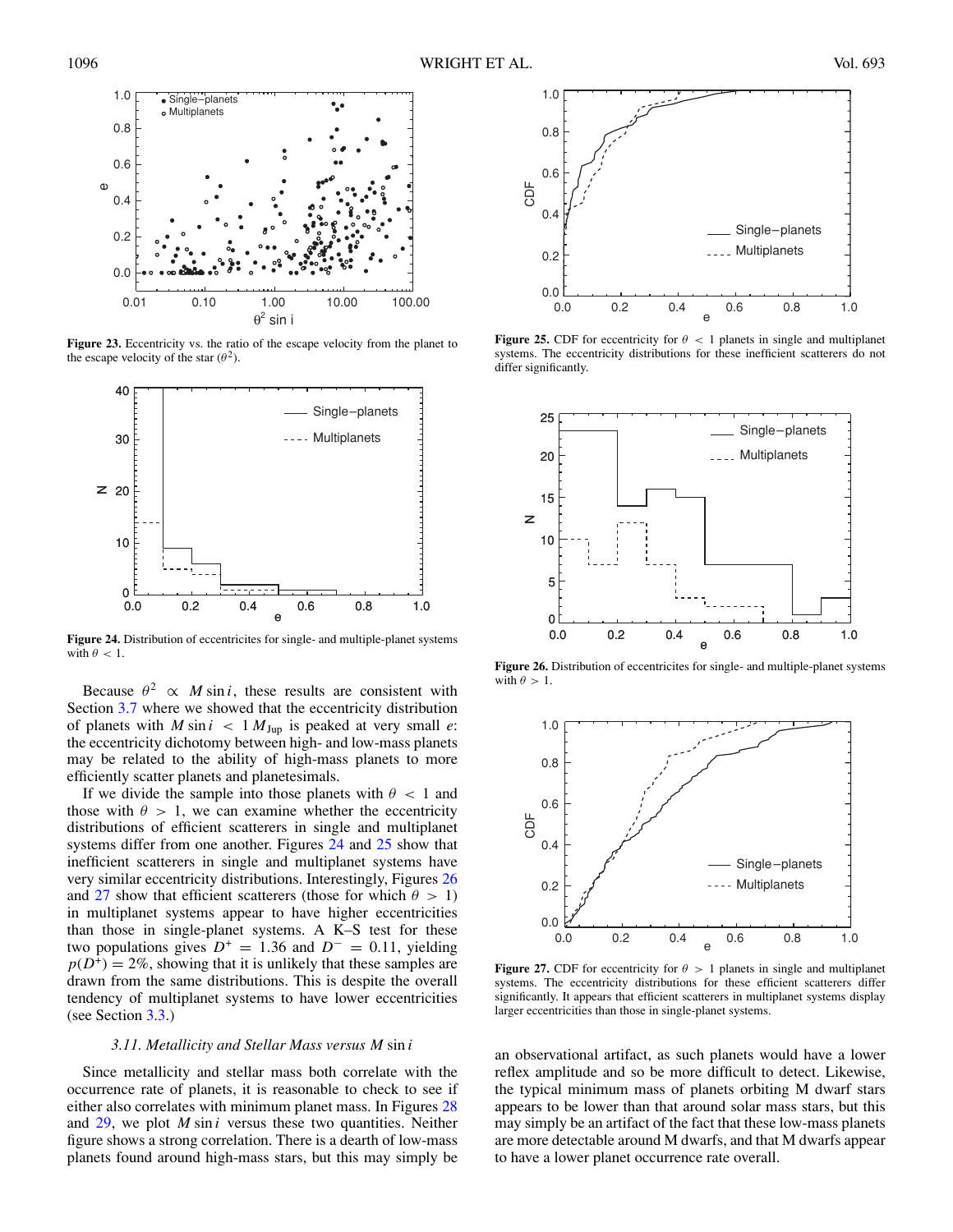<span id="page-12-0"></span>

**Figure 23.** Eccentricity vs. the ratio of the escape velocity from the planet to the escape velocity of the star  $(\theta^2)$ .



**Figure 24.** Distribution of eccentricites for single- and multiple-planet systems with  $\theta$  < 1.

Because  $\theta^2 \propto M \sin i$ , these results are consistent with Section [3.7](#page-10-0) where we showed that the eccentricity distribution of planets with  $M \sin i < 1 M_{Jup}$  is peaked at very small *e*: the eccentricity dichotomy between high- and low-mass planets may be related to the ability of high-mass planets to more efficiently scatter planets and planetesimals.

If we divide the sample into those planets with  $\theta$  < 1 and those with  $\theta > 1$ , we can examine whether the eccentricity distributions of efficient scatterers in single and multiplanet systems differ from one another. Figures 24 and 25 show that inefficient scatterers in single and multiplanet systems have very similar eccentricity distributions. Interestingly, Figures 26 and 27 show that efficient scatterers (those for which  $\theta > 1$ ) in multiplanet systems appear to have higher eccentricities than those in single-planet systems. A K–S test for these two populations gives  $D^+ = 1.36$  and  $D^- = 0.11$ , yielding  $p(D^+) = 2\%$ , showing that it is unlikely that these samples are drawn from the same distributions. This is despite the overall tendency of multiplanet systems to have lower eccentricities (see Section [3.3.](#page-8-0))

#### *3.11. Metallicity and Stellar Mass versus M* sin *i*

Since metallicity and stellar mass both correlate with the occurrence rate of planets, it is reasonable to check to see if either also correlates with minimum planet mass. In Figures [28](#page-13-0) and [29,](#page-13-0) we plot *M* sin *i* versus these two quantities. Neither figure shows a strong correlation. There is a dearth of low-mass planets found around high-mass stars, but this may simply be



**Figure 25.** CDF for eccentricity for  $\theta$  < 1 planets in single and multiplanet systems. The eccentricity distributions for these inefficient scatterers do not differ significantly.



**Figure 26.** Distribution of eccentricites for single- and multiple-planet systems with  $\theta > 1$ .



**Figure 27.** CDF for eccentricity for  $\theta > 1$  planets in single and multiplanet systems. The eccentricity distributions for these efficient scatterers differ significantly. It appears that efficient scatterers in multiplanet systems display larger eccentricities than those in single-planet systems.

an observational artifact, as such planets would have a lower reflex amplitude and so be more difficult to detect. Likewise, the typical minimum mass of planets orbiting M dwarf stars appears to be lower than that around solar mass stars, but this may simply be an artifact of the fact that these low-mass planets are more detectable around M dwarfs, and that M dwarfs appear to have a lower planet occurrence rate overall.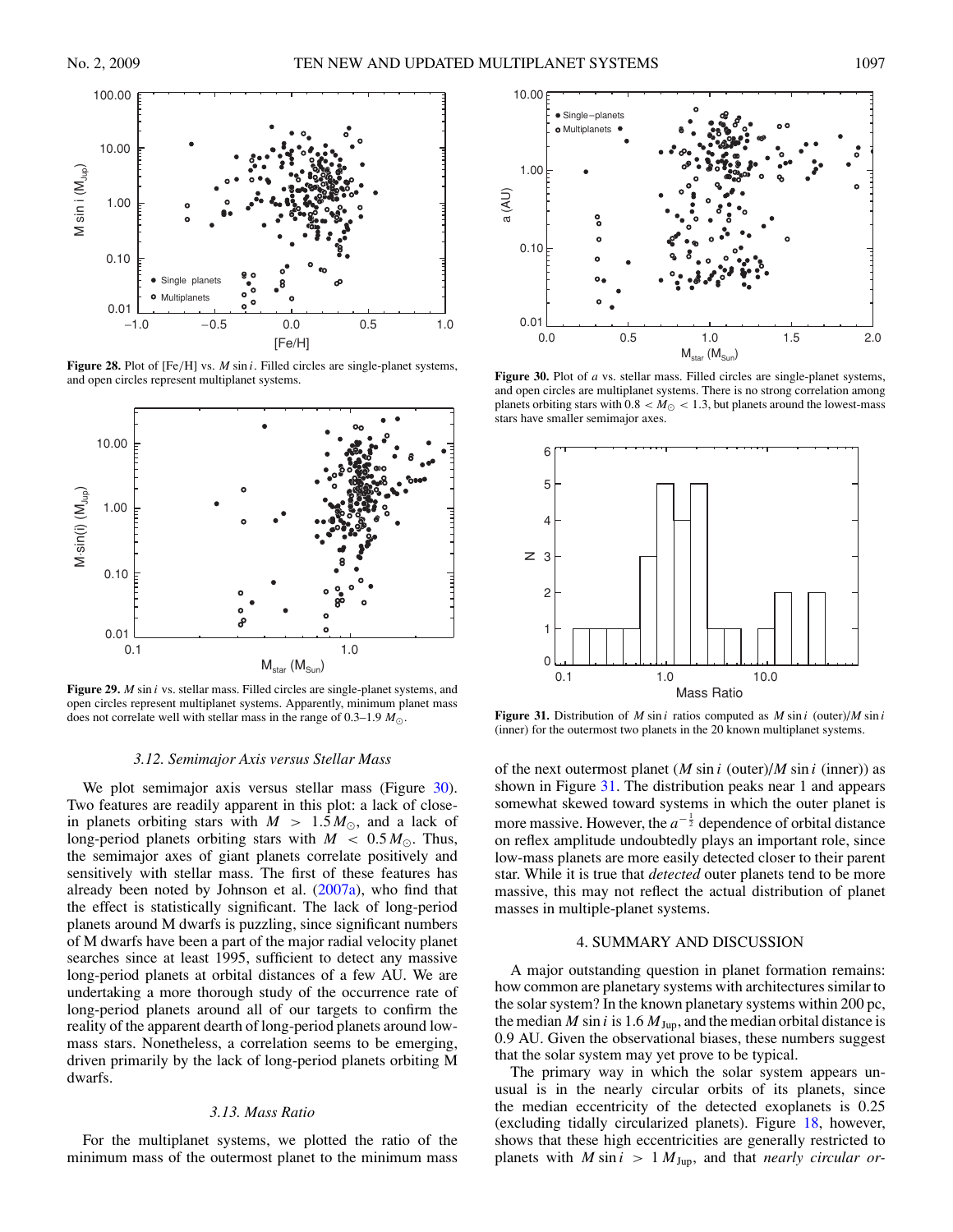<span id="page-13-0"></span>

**Figure 28.** Plot of [Fe*/*H] vs. *M* sin *i*. Filled circles are single-planet systems, and open circles represent multiplanet systems.



**Figure 29.** *M* sin *i* vs. stellar mass. Filled circles are single-planet systems, and open circles represent multiplanet systems. Apparently, minimum planet mass does not correlate well with stellar mass in the range of 0.3–1.9 *M*.

## *3.12. Semimajor Axis versus Stellar Mass*

We plot semimajor axis versus stellar mass (Figure 30). Two features are readily apparent in this plot: a lack of closein planets orbiting stars with  $M > 1.5 M_{\odot}$ , and a lack of long-period planets orbiting stars with  $M < 0.5 M_{\odot}$ . Thus, the semimajor axes of giant planets correlate positively and sensitively with stellar mass. The first of these features has already been noted by Johnson et al. [\(2007a\)](#page-15-0), who find that the effect is statistically significant. The lack of long-period planets around M dwarfs is puzzling, since significant numbers of M dwarfs have been a part of the major radial velocity planet searches since at least 1995, sufficient to detect any massive long-period planets at orbital distances of a few AU. We are undertaking a more thorough study of the occurrence rate of long-period planets around all of our targets to confirm the reality of the apparent dearth of long-period planets around lowmass stars. Nonetheless, a correlation seems to be emerging, driven primarily by the lack of long-period planets orbiting M dwarfs.

## *3.13. Mass Ratio*

For the multiplanet systems, we plotted the ratio of the minimum mass of the outermost planet to the minimum mass



**Figure 30.** Plot of *a* vs. stellar mass. Filled circles are single-planet systems, and open circles are multiplanet systems. There is no strong correlation among planets orbiting stars with  $0.8 < M_{\odot} < 1.3$ , but planets around the lowest-mass stars have smaller semimajor axes.



**Figure 31.** Distribution of *M* sin *i* ratios computed as *M* sin *i* (outer)/*M* sin *i* (inner) for the outermost two planets in the 20 known multiplanet systems.

of the next outermost planet (*M* sin *i* (outer)/*M* sin *i* (inner)) as shown in Figure 31. The distribution peaks near 1 and appears somewhat skewed toward systems in which the outer planet is more massive. However, the  $a^{-\frac{1}{2}}$  dependence of orbital distance on reflex amplitude undoubtedly plays an important role, since low-mass planets are more easily detected closer to their parent star. While it is true that *detected* outer planets tend to be more massive, this may not reflect the actual distribution of planet masses in multiple-planet systems.

## 4. SUMMARY AND DISCUSSION

A major outstanding question in planet formation remains: how common are planetary systems with architectures similar to the solar system? In the known planetary systems within 200 pc, the median *M* sin *i* is 1.6  $M_{Jup}$ , and the median orbital distance is 0.9 AU. Given the observational biases, these numbers suggest that the solar system may yet prove to be typical.

The primary way in which the solar system appears unusual is in the nearly circular orbits of its planets, since the median eccentricity of the detected exoplanets is 0.25 (excluding tidally circularized planets). Figure [18,](#page-10-0) however, shows that these high eccentricities are generally restricted to planets with  $M \sin i > 1 M_{Jup}$ , and that *nearly circular or-*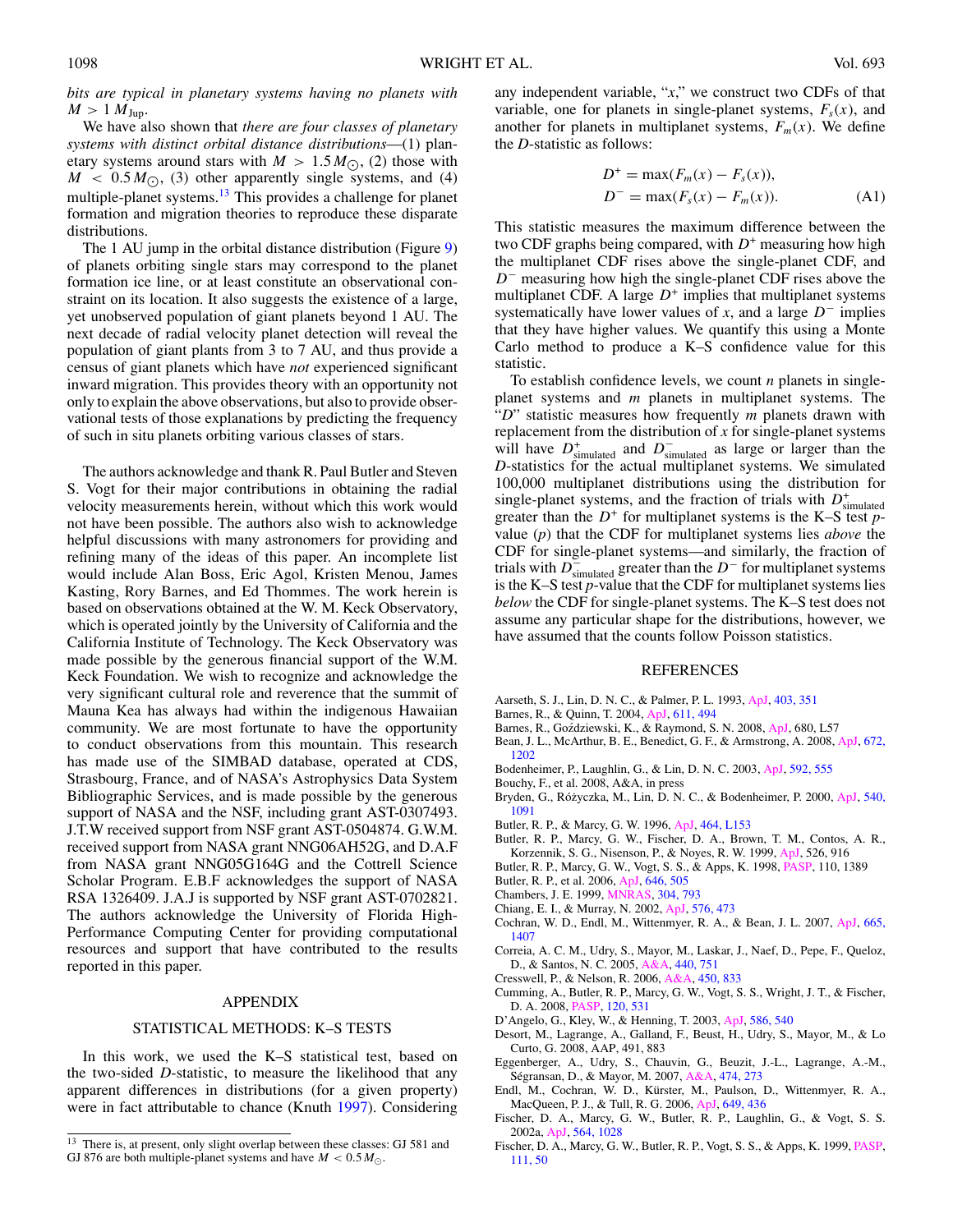<span id="page-14-0"></span>*bits are typical in planetary systems having no planets with*  $M > 1 M_{Jup}$ .

We have also shown that *there are four classes of planetary systems with distinct orbital distance distributions*—(1) planetary systems around stars with  $M > 1.5 M_{\odot}$ , (2) those with  $M < 0.5 M_{\odot}$ , (3) other apparently single systems, and (4) multiple-planet systems.<sup>13</sup> This provides a challenge for planet formation and migration theories to reproduce these disparate distributions.

The 1 AU jump in the orbital distance distribution (Figure [9\)](#page-8-0) of planets orbiting single stars may correspond to the planet formation ice line, or at least constitute an observational constraint on its location. It also suggests the existence of a large, yet unobserved population of giant planets beyond 1 AU. The next decade of radial velocity planet detection will reveal the population of giant plants from 3 to 7 AU, and thus provide a census of giant planets which have *not* experienced significant inward migration. This provides theory with an opportunity not only to explain the above observations, but also to provide observational tests of those explanations by predicting the frequency of such in situ planets orbiting various classes of stars.

The authors acknowledge and thank R. Paul Butler and Steven S. Vogt for their major contributions in obtaining the radial velocity measurements herein, without which this work would not have been possible. The authors also wish to acknowledge helpful discussions with many astronomers for providing and refining many of the ideas of this paper. An incomplete list would include Alan Boss, Eric Agol, Kristen Menou, James Kasting, Rory Barnes, and Ed Thommes. The work herein is based on observations obtained at the W. M. Keck Observatory, which is operated jointly by the University of California and the California Institute of Technology. The Keck Observatory was made possible by the generous financial support of the W.M. Keck Foundation. We wish to recognize and acknowledge the very significant cultural role and reverence that the summit of Mauna Kea has always had within the indigenous Hawaiian community. We are most fortunate to have the opportunity to conduct observations from this mountain. This research has made use of the SIMBAD database, operated at CDS, Strasbourg, France, and of NASA's Astrophysics Data System Bibliographic Services, and is made possible by the generous support of NASA and the NSF, including grant AST-0307493. J.T.W received support from NSF grant AST-0504874. G.W.M. received support from NASA grant NNG06AH52G, and D.A.F from NASA grant NNG05G164G and the Cottrell Science Scholar Program. E.B.F acknowledges the support of NASA RSA 1326409. J.A.J is supported by NSF grant AST-0702821. The authors acknowledge the University of Florida High-Performance Computing Center for providing computational resources and support that have contributed to the results reported in this paper.

### APPENDIX

## STATISTICAL METHODS: K–S TESTS

In this work, we used the K–S statistical test, based on the two-sided *D*-statistic, to measure the likelihood that any apparent differences in distributions (for a given property) were in fact attributable to chance (Knuth [1997\)](#page-15-0). Considering

any independent variable, "*x*," we construct two CDFs of that variable, one for planets in single-planet systems,  $F_s(x)$ , and another for planets in multiplanet systems,  $F_m(x)$ . We define the *D*-statistic as follows:

$$
D^{+} = \max(F_m(x) - F_s(x)),
$$
  
\n
$$
D^{-} = \max(F_s(x) - F_m(x)).
$$
\n(A1)

This statistic measures the maximum difference between the two CDF graphs being compared, with  $D^+$  measuring how high the multiplanet CDF rises above the single-planet CDF, and *D*<sup>−</sup> measuring how high the single-planet CDF rises above the multiplanet CDF. A large  $D^+$  implies that multiplanet systems systematically have lower values of *x*, and a large *D*<sup>−</sup> implies that they have higher values. We quantify this using a Monte Carlo method to produce a K–S confidence value for this statistic.

To establish confidence levels, we count *n* planets in singleplanet systems and *m* planets in multiplanet systems. The "*D*" statistic measures how frequently *m* planets drawn with replacement from the distribution of *x* for single-planet systems will have  $D^+_{simulated}$  and  $D^-_{simulated}$  as large or larger than the *D*-statistics for the actual multiplanet systems. We simulated 100,000 multiplanet distributions using the distribution for single-planet systems, and the fraction of trials with  $D^{\dagger}_{\text{simulated}}$ greater than the  $D^+$  for multiplanet systems is the K–S test  $p$ value (*p*) that the CDF for multiplanet systems lies *above* the CDF for single-planet systems—and similarly, the fraction of trials with  $D^-_{\sf simulated}$  greater than the  $D^-$  for multiplanet systems is the K–S test *p*-value that the CDF for multiplanet systems lies *below* the CDF for single-planet systems. The K–S test does not assume any particular shape for the distributions, however, we have assumed that the counts follow Poisson statistics.

### REFERENCES

- Aarseth, S. J., Lin, D. N. C., & Palmer, P. L. 1993, [ApJ,](http://dx.doi.org/10.1086/172208) [403, 351](http://adsabs.harvard.edu/cgi-bin/bib_query?1993ApJ...403..351A)
- Barnes, R., & Quinn, T. 2004, [ApJ,](http://dx.doi.org/10.1086/421321) [611, 494](http://adsabs.harvard.edu/cgi-bin/bib_query?2004ApJ...611..494B)
- Barnes, R., Goździewski, K., & Raymond, S. N. 2008, [ApJ,](http://dx.doi.org/10.1086/589712) 680, L57
- Bean, J. L., McArthur, B. E., Benedict, G. F., & Armstrong, A. 2008, [ApJ,](http://dx.doi.org/10.1086/523701) [672,](http://adsabs.harvard.edu/cgi-bin/bib_query?2008ApJ...672.1202B) [1202](http://adsabs.harvard.edu/cgi-bin/bib_query?2008ApJ...672.1202B)
- Bodenheimer, P., Laughlin, G., & Lin, D. N. C. 2003, [ApJ,](http://dx.doi.org/10.1086/375565) [592, 555](http://adsabs.harvard.edu/cgi-bin/bib_query?2003ApJ...592..555B)
- Bouchy, F., et al. 2008, A&A, in press
- Bryden, G., Różyczka, M., Lin, D. N. C., & Bodenheimer, P. 2000, [ApJ,](http://dx.doi.org/10.1086/309363) [540,](http://adsabs.harvard.edu/cgi-bin/bib_query?2000ApJ...540.1091B) [1091](http://adsabs.harvard.edu/cgi-bin/bib_query?2000ApJ...540.1091B)
- Butler, R. P., & Marcy, G. W. 1996, [ApJ,](http://dx.doi.org/10.1086/310102) [464, L153](http://adsabs.harvard.edu/cgi-bin/bib_query?1996ApJ...464L.153B)
- Butler, R. P., Marcy, G. W., Fischer, D. A., Brown, T. M., Contos, A. R., Korzennik, S. G., Nisenson, P., & Noyes, R. W. 1999, [ApJ,](http://dx.doi.org/10.1086/308035) 526, 916
- Butler, R. P., Marcy, G. W., Vogt, S. S., & Apps, K. 1998, [PASP,](http://dx.doi.org/10.1086/316287) 110, 1389
- Butler, R. P., et al. 2006, [ApJ,](http://dx.doi.org/10.1086/504701) [646, 505](http://adsabs.harvard.edu/cgi-bin/bib_query?2006ApJ...646..505B)
- Chambers, J. E. 1999, [MNRAS,](http://dx.doi.org/10.1046/j.1365-8711.1999.02379.x) [304, 793](http://adsabs.harvard.edu/cgi-bin/bib_query?1999MNRAS.304..793C)
- Chiang, E. I., & Murray, N. 2002, [ApJ,](http://dx.doi.org/10.1086/341617) [576, 473](http://adsabs.harvard.edu/cgi-bin/bib_query?2002ApJ...576..473C)
- Cochran, W. D., Endl, M., Wittenmyer, R. A., & Bean, J. L. 2007, [ApJ,](http://dx.doi.org/10.1086/519555) [665,](http://adsabs.harvard.edu/cgi-bin/bib_query?2007ApJ...665.1407C) [1407](http://adsabs.harvard.edu/cgi-bin/bib_query?2007ApJ...665.1407C)
- Correia, A. C. M., Udry, S., Mayor, M., Laskar, J., Naef, D., Pepe, F., Queloz, D., & Santos, N. C. 2005, [A&A,](http://dx.doi.org/10.1051/0004-6361:20042376) [440, 751](http://adsabs.harvard.edu/cgi-bin/bib_query?2005A&A...440..751C)
- Cresswell, P., & Nelson, R. 2006, [A&A,](http://dx.doi.org/10.1051/0004-6361:20054551) [450, 833](http://adsabs.harvard.edu/cgi-bin/bib_query?2006A&A...450..833C)
- Cumming, A., Butler, R. P., Marcy, G. W., Vogt, S. S., Wright, J. T., & Fischer, D. A. 2008, [PASP,](http://dx.doi.org/10.1086/588487) [120, 531](http://adsabs.harvard.edu/cgi-bin/bib_query?2008PASP..120..531C)
- D'Angelo, G., Kley, W., & Henning, T. 2003, [ApJ,](http://dx.doi.org/10.1086/367555) [586, 540](http://adsabs.harvard.edu/cgi-bin/bib_query?2003ApJ...586..540D)
- Desort, M., Lagrange, A., Galland, F., Beust, H., Udry, S., Mayor, M., & Lo Curto, G. 2008, AAP, 491, 883
- Eggenberger, A., Udry, S., Chauvin, G., Beuzit, J.-L., Lagrange, A.-M., Ségransan, D., & Mayor, M. 2007, [A&A,](http://dx.doi.org/10.1051/0004-6361:20077447) [474, 273](http://adsabs.harvard.edu/cgi-bin/bib_query?2007A&A...474..273E)
- Endl, M., Cochran, W. D., Kürster, M., Paulson, D., Wittenmyer, R. A., MacQueen, P. J., & Tull, R. G. 2006, [ApJ,](http://dx.doi.org/10.1086/506465) [649, 436](http://adsabs.harvard.edu/cgi-bin/bib_query?2006ApJ...649..436E)
- Fischer, D. A., Marcy, G. W., Butler, R. P., Laughlin, G., & Vogt, S. S. 2002a, [ApJ,](http://dx.doi.org/10.1086/324336) [564, 1028](http://adsabs.harvard.edu/cgi-bin/bib_query?2002ApJ...564.1028F)
- Fischer, D. A., Marcy, G. W., Butler, R. P., Vogt, S. S., & Apps, K. 1999, [PASP,](http://dx.doi.org/10.1086/316304) [111, 50](http://adsabs.harvard.edu/cgi-bin/bib_query?1999PASP..111...50F)

<sup>13</sup> There is, at present, only slight overlap between these classes: GJ 581 and GJ 876 are both multiple-planet systems and have  $M < 0.5 M_{\odot}$ .